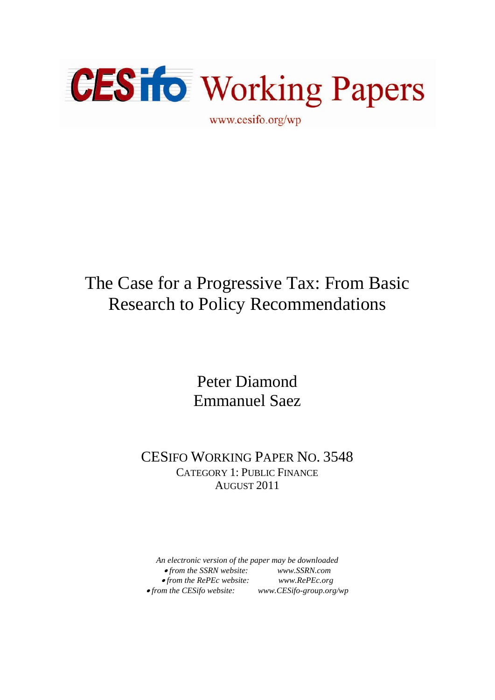

The Case for a Progressive Tax: From Basic Research to Policy Recommendations

> Peter Diamond Emmanuel Saez

CESIFO WORKING PAPER NO. 3548 CATEGORY 1: PUBLIC FINANCE AUGUST 2011

*An electronic version of the paper may be downloaded*  • *from the SSRN website: [www.SSRN.com](http://www.ssrn.com/)* • *from the RePEc website: [www.RePEc.org](http://www.repec.org/)*  $\bullet$  *from the CESifo website: [www.CESifo-group.org/wp](http://www.cesifo-group.de/)*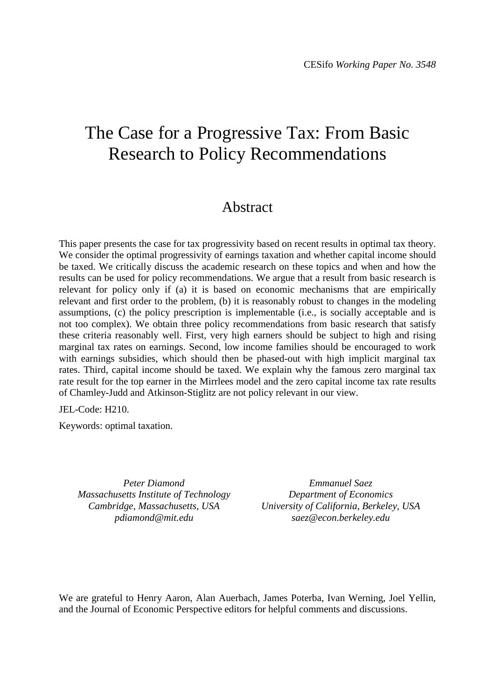# The Case for a Progressive Tax: From Basic Research to Policy Recommendations

# Abstract

This paper presents the case for tax progressivity based on recent results in optimal tax theory. We consider the optimal progressivity of earnings taxation and whether capital income should be taxed. We critically discuss the academic research on these topics and when and how the results can be used for policy recommendations. We argue that a result from basic research is relevant for policy only if (a) it is based on economic mechanisms that are empirically relevant and first order to the problem, (b) it is reasonably robust to changes in the modeling assumptions, (c) the policy prescription is implementable (i.e., is socially acceptable and is not too complex). We obtain three policy recommendations from basic research that satisfy these criteria reasonably well. First, very high earners should be subject to high and rising marginal tax rates on earnings. Second, low income families should be encouraged to work with earnings subsidies, which should then be phased-out with high implicit marginal tax rates. Third, capital income should be taxed. We explain why the famous zero marginal tax rate result for the top earner in the Mirrlees model and the zero capital income tax rate results of Chamley-Judd and Atkinson-Stiglitz are not policy relevant in our view.

JEL-Code: H210.

Keywords: optimal taxation.

*Peter Diamond Massachusetts Institute of Technology Cambridge, Massachusetts, USA pdiamond@mit.edu*

*Emmanuel Saez Department of Economics University of California, Berkeley, USA saez@econ.berkeley.edu*

We are grateful to Henry Aaron, Alan Auerbach, James Poterba, Ivan Werning, Joel Yellin, and the Journal of Economic Perspective editors for helpful comments and discussions.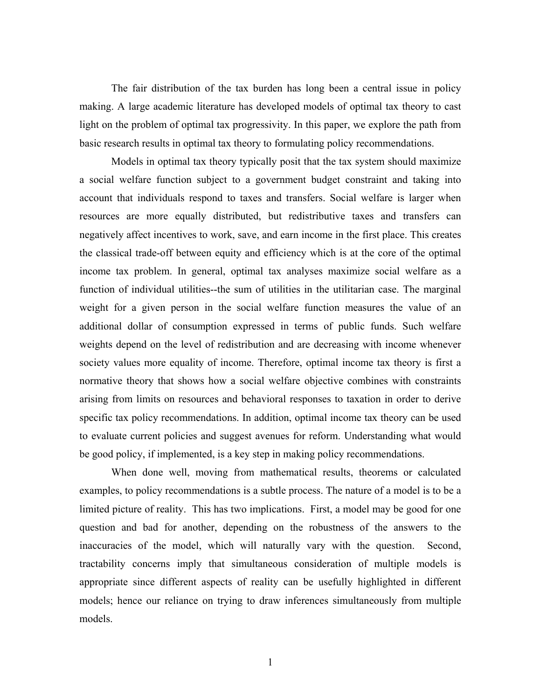The fair distribution of the tax burden has long been a central issue in policy making. A large academic literature has developed models of optimal tax theory to cast light on the problem of optimal tax progressivity. In this paper, we explore the path from basic research results in optimal tax theory to formulating policy recommendations.

 Models in optimal tax theory typically posit that the tax system should maximize a social welfare function subject to a government budget constraint and taking into account that individuals respond to taxes and transfers. Social welfare is larger when resources are more equally distributed, but redistributive taxes and transfers can negatively affect incentives to work, save, and earn income in the first place. This creates the classical trade-off between equity and efficiency which is at the core of the optimal income tax problem. In general, optimal tax analyses maximize social welfare as a function of individual utilities--the sum of utilities in the utilitarian case. The marginal weight for a given person in the social welfare function measures the value of an additional dollar of consumption expressed in terms of public funds. Such welfare weights depend on the level of redistribution and are decreasing with income whenever society values more equality of income. Therefore, optimal income tax theory is first a normative theory that shows how a social welfare objective combines with constraints arising from limits on resources and behavioral responses to taxation in order to derive specific tax policy recommendations. In addition, optimal income tax theory can be used to evaluate current policies and suggest avenues for reform. Understanding what would be good policy, if implemented, is a key step in making policy recommendations.

When done well, moving from mathematical results, theorems or calculated examples, to policy recommendations is a subtle process. The nature of a model is to be a limited picture of reality. This has two implications. First, a model may be good for one question and bad for another, depending on the robustness of the answers to the inaccuracies of the model, which will naturally vary with the question. Second, tractability concerns imply that simultaneous consideration of multiple models is appropriate since different aspects of reality can be usefully highlighted in different models; hence our reliance on trying to draw inferences simultaneously from multiple models.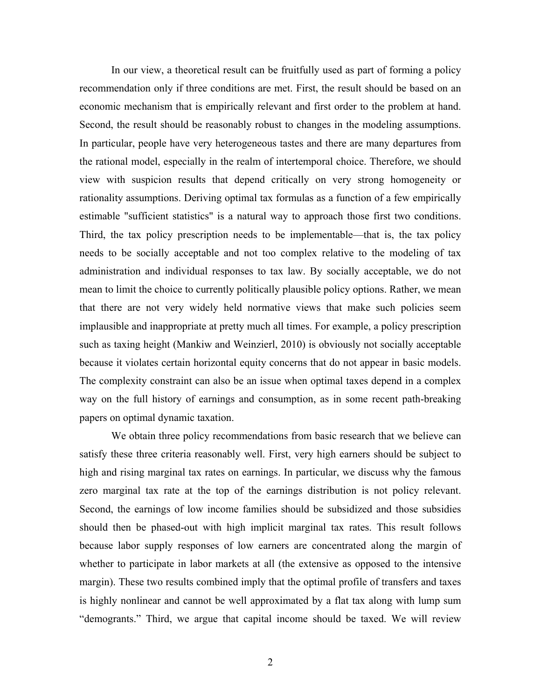In our view, a theoretical result can be fruitfully used as part of forming a policy recommendation only if three conditions are met. First, the result should be based on an economic mechanism that is empirically relevant and first order to the problem at hand. Second, the result should be reasonably robust to changes in the modeling assumptions. In particular, people have very heterogeneous tastes and there are many departures from the rational model, especially in the realm of intertemporal choice. Therefore, we should view with suspicion results that depend critically on very strong homogeneity or rationality assumptions. Deriving optimal tax formulas as a function of a few empirically estimable "sufficient statistics" is a natural way to approach those first two conditions. Third, the tax policy prescription needs to be implementable—that is, the tax policy needs to be socially acceptable and not too complex relative to the modeling of tax administration and individual responses to tax law. By socially acceptable, we do not mean to limit the choice to currently politically plausible policy options. Rather, we mean that there are not very widely held normative views that make such policies seem implausible and inappropriate at pretty much all times. For example, a policy prescription such as taxing height (Mankiw and Weinzierl, 2010) is obviously not socially acceptable because it violates certain horizontal equity concerns that do not appear in basic models. The complexity constraint can also be an issue when optimal taxes depend in a complex way on the full history of earnings and consumption, as in some recent path-breaking papers on optimal dynamic taxation.

We obtain three policy recommendations from basic research that we believe can satisfy these three criteria reasonably well. First, very high earners should be subject to high and rising marginal tax rates on earnings. In particular, we discuss why the famous zero marginal tax rate at the top of the earnings distribution is not policy relevant. Second, the earnings of low income families should be subsidized and those subsidies should then be phased-out with high implicit marginal tax rates. This result follows because labor supply responses of low earners are concentrated along the margin of whether to participate in labor markets at all (the extensive as opposed to the intensive margin). These two results combined imply that the optimal profile of transfers and taxes is highly nonlinear and cannot be well approximated by a flat tax along with lump sum "demogrants." Third, we argue that capital income should be taxed. We will review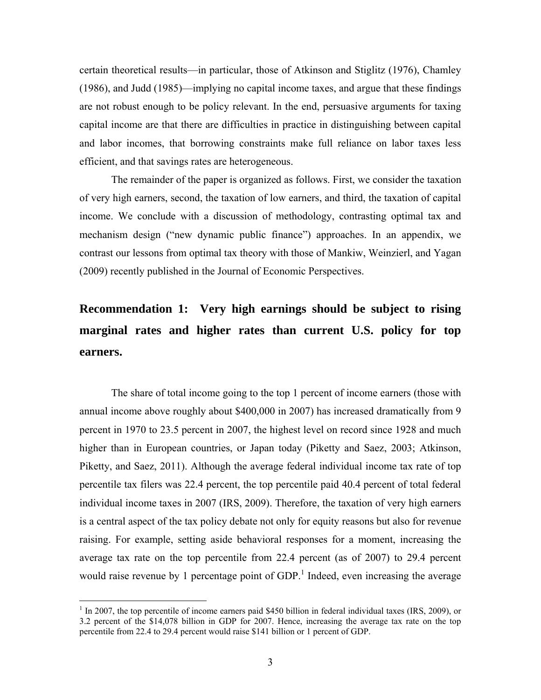certain theoretical results—in particular, those of Atkinson and Stiglitz (1976), Chamley (1986), and Judd (1985)—implying no capital income taxes, and argue that these findings are not robust enough to be policy relevant. In the end, persuasive arguments for taxing capital income are that there are difficulties in practice in distinguishing between capital and labor incomes, that borrowing constraints make full reliance on labor taxes less efficient, and that savings rates are heterogeneous.

The remainder of the paper is organized as follows. First, we consider the taxation of very high earners, second, the taxation of low earners, and third, the taxation of capital income. We conclude with a discussion of methodology, contrasting optimal tax and mechanism design ("new dynamic public finance") approaches. In an appendix, we contrast our lessons from optimal tax theory with those of Mankiw, Weinzierl, and Yagan (2009) recently published in the Journal of Economic Perspectives.

# **Recommendation 1: Very high earnings should be subject to rising marginal rates and higher rates than current U.S. policy for top earners.**

The share of total income going to the top 1 percent of income earners (those with annual income above roughly about \$400,000 in 2007) has increased dramatically from 9 percent in 1970 to 23.5 percent in 2007, the highest level on record since 1928 and much higher than in European countries, or Japan today (Piketty and Saez, 2003; Atkinson, Piketty, and Saez, 2011). Although the average federal individual income tax rate of top percentile tax filers was 22.4 percent, the top percentile paid 40.4 percent of total federal individual income taxes in 2007 (IRS, 2009). Therefore, the taxation of very high earners is a central aspect of the tax policy debate not only for equity reasons but also for revenue raising. For example, setting aside behavioral responses for a moment, increasing the average tax rate on the top percentile from 22.4 percent (as of 2007) to 29.4 percent would raise revenue by 1 percentage point of  $GDP<sup>1</sup>$  Indeed, even increasing the average

 $\overline{a}$ 

<sup>&</sup>lt;sup>1</sup> In 2007, the top percentile of income earners paid \$450 billion in federal individual taxes (IRS, 2009), or 3.2 percent of the \$14,078 billion in GDP for 2007. Hence, increasing the average tax rate on the top percentile from 22.4 to 29.4 percent would raise \$141 billion or 1 percent of GDP.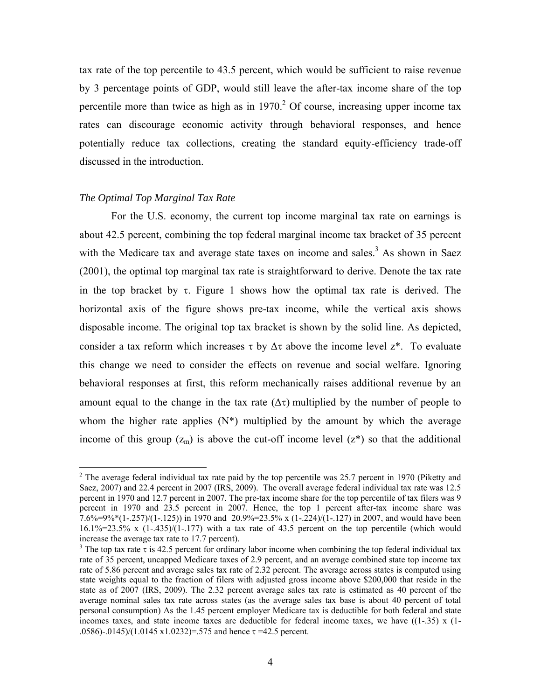tax rate of the top percentile to 43.5 percent, which would be sufficient to raise revenue by 3 percentage points of GDP, would still leave the after-tax income share of the top percentile more than twice as high as in  $1970<sup>2</sup>$  Of course, increasing upper income tax rates can discourage economic activity through behavioral responses, and hence potentially reduce tax collections, creating the standard equity-efficiency trade-off discussed in the introduction.

#### *The Optimal Top Marginal Tax Rate*

For the U.S. economy, the current top income marginal tax rate on earnings is about 42.5 percent, combining the top federal marginal income tax bracket of 35 percent with the Medicare tax and average state taxes on income and sales.<sup>3</sup> As shown in Saez (2001), the optimal top marginal tax rate is straightforward to derive. Denote the tax rate in the top bracket by  $\tau$ . Figure 1 shows how the optimal tax rate is derived. The horizontal axis of the figure shows pre-tax income, while the vertical axis shows disposable income. The original top tax bracket is shown by the solid line. As depicted, consider a tax reform which increases  $\tau$  by  $\Delta \tau$  above the income level  $z^*$ . To evaluate this change we need to consider the effects on revenue and social welfare. Ignoring behavioral responses at first, this reform mechanically raises additional revenue by an amount equal to the change in the tax rate  $(\Delta \tau)$  multiplied by the number of people to whom the higher rate applies  $(N^*)$  multiplied by the amount by which the average income of this group  $(z_m)$  is above the cut-off income level  $(z^*)$  so that the additional

<sup>&</sup>lt;sup>2</sup> The average federal individual tax rate paid by the top percentile was 25.7 percent in 1970 (Piketty and Saez, 2007) and 22.4 percent in 2007 (IRS, 2009). The overall average federal individual tax rate was 12.5 percent in 1970 and 12.7 percent in 2007. The pre-tax income share for the top percentile of tax filers was 9 percent in 1970 and 23.5 percent in 2007. Hence, the top 1 percent after-tax income share was  $7.6\% = 9\%*(1-.257)/(1-.125)$  in 1970 and 20.9% = 23.5% x (1-.224)/(1-.127) in 2007, and would have been  $16.1\% = 23.5\%$  x  $(1-.435)/(1-.177)$  with a tax rate of 43.5 percent on the top percentile (which would increase the average tax rate to 17.7 percent).

<sup>&</sup>lt;sup>3</sup> The top tax rate  $\tau$  is 42.5 percent for ordinary labor income when combining the top federal individual tax rate of 35 percent, uncapped Medicare taxes of 2.9 percent, and an average combined state top income tax rate of 5.86 percent and average sales tax rate of 2.32 percent. The average across states is computed using state weights equal to the fraction of filers with adjusted gross income above \$200,000 that reside in the state as of 2007 (IRS, 2009). The 2.32 percent average sales tax rate is estimated as 40 percent of the average nominal sales tax rate across states (as the average sales tax base is about 40 percent of total personal consumption) As the 1.45 percent employer Medicare tax is deductible for both federal and state incomes taxes, and state income taxes are deductible for federal income taxes, we have  $((1-35) \times (1-$ .0586)-.0145)/(1.0145 x1.0232)=.575 and hence  $\tau$  =42.5 percent.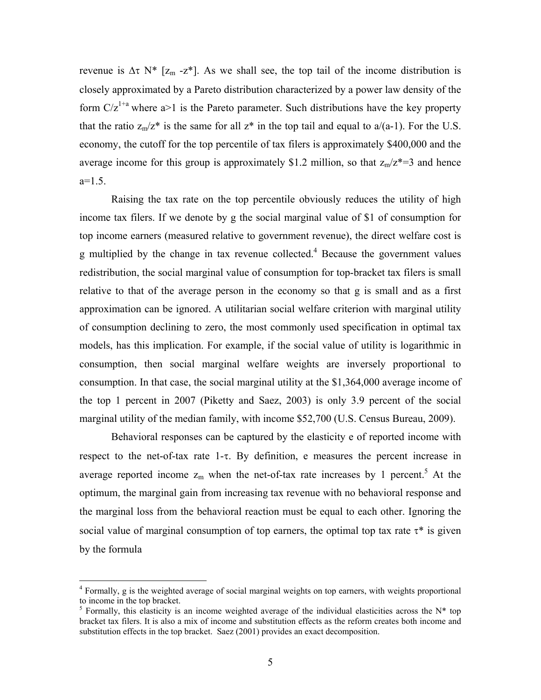revenue is  $\Delta \tau$  N\* [z<sub>m</sub> -z<sup>\*</sup>]. As we shall see, the top tail of the income distribution is closely approximated by a Pareto distribution characterized by a power law density of the form  $C/z^{1+a}$  where a>1 is the Pareto parameter. Such distributions have the key property that the ratio  $z_m/z^*$  is the same for all  $z^*$  in the top tail and equal to  $a/(a-1)$ . For the U.S. economy, the cutoff for the top percentile of tax filers is approximately \$400,000 and the average income for this group is approximately \$1.2 million, so that  $z_m/z^*=3$  and hence  $a=1.5$ .

Raising the tax rate on the top percentile obviously reduces the utility of high income tax filers. If we denote by g the social marginal value of \$1 of consumption for top income earners (measured relative to government revenue), the direct welfare cost is g multiplied by the change in tax revenue collected.<sup>4</sup> Because the government values redistribution, the social marginal value of consumption for top-bracket tax filers is small relative to that of the average person in the economy so that g is small and as a first approximation can be ignored. A utilitarian social welfare criterion with marginal utility of consumption declining to zero, the most commonly used specification in optimal tax models, has this implication. For example, if the social value of utility is logarithmic in consumption, then social marginal welfare weights are inversely proportional to consumption. In that case, the social marginal utility at the \$1,364,000 average income of the top 1 percent in 2007 (Piketty and Saez, 2003) is only 3.9 percent of the social marginal utility of the median family, with income \$52,700 (U.S. Census Bureau, 2009).

Behavioral responses can be captured by the elasticity e of reported income with respect to the net-of-tax rate  $1-x$ . By definition, e measures the percent increase in average reported income  $z_m$  when the net-of-tax rate increases by 1 percent.<sup>5</sup> At the optimum, the marginal gain from increasing tax revenue with no behavioral response and the marginal loss from the behavioral reaction must be equal to each other. Ignoring the social value of marginal consumption of top earners, the optimal top tax rate  $\tau^*$  is given by the formula

1

<sup>&</sup>lt;sup>4</sup> Formally, g is the weighted average of social marginal weights on top earners, with weights proportional to income in the top bracket.

<sup>&</sup>lt;sup>5</sup> Formally, this elasticity is an income weighted average of the individual elasticities across the N<sup>\*</sup> top bracket tax filers. It is also a mix of income and substitution effects as the reform creates both income and substitution effects in the top bracket. Saez (2001) provides an exact decomposition.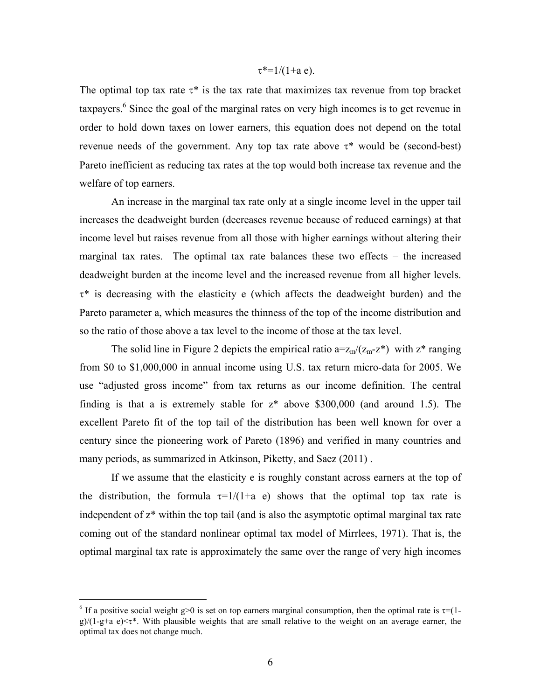#### $\tau^* = 1/(1+a e)$ .

The optimal top tax rate  $\tau^*$  is the tax rate that maximizes tax revenue from top bracket taxpayers.<sup>6</sup> Since the goal of the marginal rates on very high incomes is to get revenue in order to hold down taxes on lower earners, this equation does not depend on the total revenue needs of the government. Any top tax rate above  $\tau^*$  would be (second-best) Pareto inefficient as reducing tax rates at the top would both increase tax revenue and the welfare of top earners.

An increase in the marginal tax rate only at a single income level in the upper tail increases the deadweight burden (decreases revenue because of reduced earnings) at that income level but raises revenue from all those with higher earnings without altering their marginal tax rates. The optimal tax rate balances these two effects – the increased deadweight burden at the income level and the increased revenue from all higher levels.  $\tau^*$  is decreasing with the elasticity e (which affects the deadweight burden) and the Pareto parameter a, which measures the thinness of the top of the income distribution and so the ratio of those above a tax level to the income of those at the tax level.

The solid line in Figure 2 depicts the empirical ratio  $a = z_m/(z_m-z^*)$  with  $z^*$  ranging from \$0 to \$1,000,000 in annual income using U.S. tax return micro-data for 2005. We use "adjusted gross income" from tax returns as our income definition. The central finding is that a is extremely stable for  $z^*$  above \$300,000 (and around 1.5). The excellent Pareto fit of the top tail of the distribution has been well known for over a century since the pioneering work of Pareto (1896) and verified in many countries and many periods, as summarized in Atkinson, Piketty, and Saez (2011) .

 If we assume that the elasticity e is roughly constant across earners at the top of the distribution, the formula  $\tau=1/(1+a)$  shows that the optimal top tax rate is independent of z\* within the top tail (and is also the asymptotic optimal marginal tax rate coming out of the standard nonlinear optimal tax model of Mirrlees, 1971). That is, the optimal marginal tax rate is approximately the same over the range of very high incomes

 $\overline{a}$ 

<sup>&</sup>lt;sup>6</sup> If a positive social weight g>0 is set on top earners marginal consumption, then the optimal rate is  $\tau$ =(1 $g$ )/(1-g+a e)< $\tau^*$ . With plausible weights that are small relative to the weight on an average earner, the optimal tax does not change much.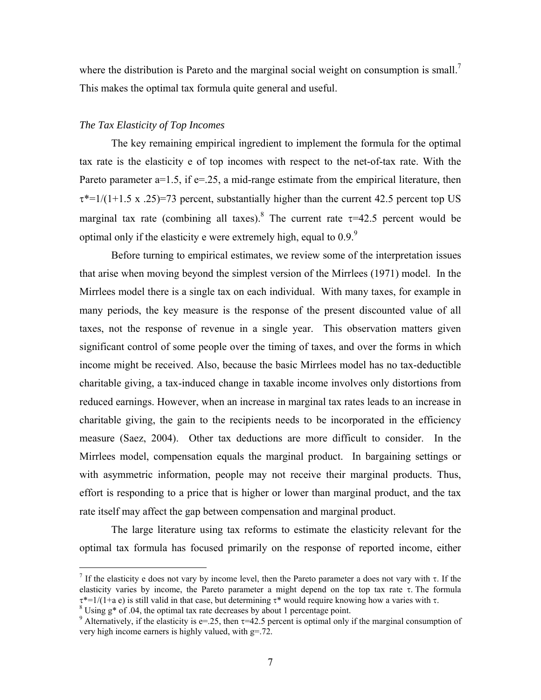where the distribution is Pareto and the marginal social weight on consumption is small.<sup>7</sup> This makes the optimal tax formula quite general and useful.

#### *The Tax Elasticity of Top Incomes*

The key remaining empirical ingredient to implement the formula for the optimal tax rate is the elasticity e of top incomes with respect to the net-of-tax rate. With the Pareto parameter  $a=1.5$ , if  $e=.25$ , a mid-range estimate from the empirical literature, then  $\tau^*$ =1/(1+1.5 x .25)=73 percent, substantially higher than the current 42.5 percent top US marginal tax rate (combining all taxes).<sup>8</sup> The current rate  $\tau$ =42.5 percent would be optimal only if the elasticity e were extremely high, equal to  $0.9$ .<sup>9</sup>

 Before turning to empirical estimates, we review some of the interpretation issues that arise when moving beyond the simplest version of the Mirrlees (1971) model. In the Mirrlees model there is a single tax on each individual. With many taxes, for example in many periods, the key measure is the response of the present discounted value of all taxes, not the response of revenue in a single year. This observation matters given significant control of some people over the timing of taxes, and over the forms in which income might be received. Also, because the basic Mirrlees model has no tax-deductible charitable giving, a tax-induced change in taxable income involves only distortions from reduced earnings. However, when an increase in marginal tax rates leads to an increase in charitable giving, the gain to the recipients needs to be incorporated in the efficiency measure (Saez, 2004). Other tax deductions are more difficult to consider. In the Mirrlees model, compensation equals the marginal product. In bargaining settings or with asymmetric information, people may not receive their marginal products. Thus, effort is responding to a price that is higher or lower than marginal product, and the tax rate itself may affect the gap between compensation and marginal product.

The large literature using tax reforms to estimate the elasticity relevant for the optimal tax formula has focused primarily on the response of reported income, either

1

<sup>&</sup>lt;sup>7</sup> If the elasticity e does not vary by income level, then the Pareto parameter a does not vary with  $\tau$ . If the elasticity varies by income, the Pareto parameter a might depend on the top tax rate  $\tau$ . The formula  $\tau^*=1/(1+a e)$  is still valid in that case, but determining  $\tau^*$  would require knowing how a varies with  $\tau$ .

Using g\* of .04, the optimal tax rate decreases by about 1 percentage point.

<sup>&</sup>lt;sup>9</sup> Alternatively, if the elasticity is e=.25, then  $\tau$ =42.5 percent is optimal only if the marginal consumption of very high income earners is highly valued, with g=.72.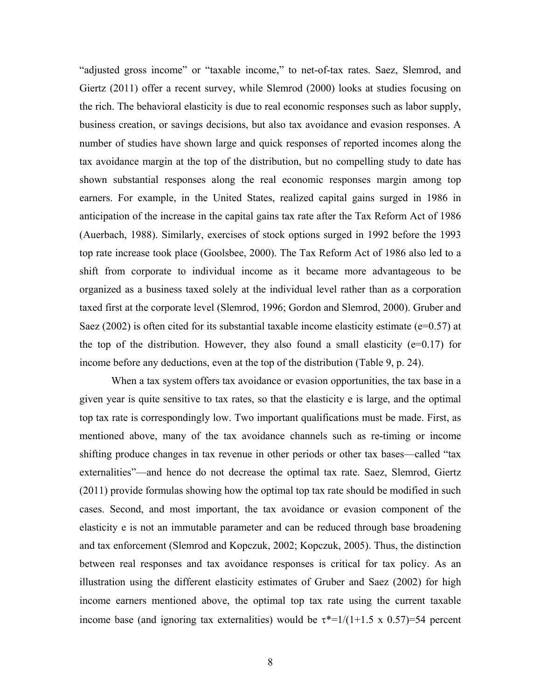"adjusted gross income" or "taxable income," to net-of-tax rates. Saez, Slemrod, and Giertz (2011) offer a recent survey, while Slemrod (2000) looks at studies focusing on the rich. The behavioral elasticity is due to real economic responses such as labor supply, business creation, or savings decisions, but also tax avoidance and evasion responses. A number of studies have shown large and quick responses of reported incomes along the tax avoidance margin at the top of the distribution, but no compelling study to date has shown substantial responses along the real economic responses margin among top earners. For example, in the United States, realized capital gains surged in 1986 in anticipation of the increase in the capital gains tax rate after the Tax Reform Act of 1986 (Auerbach, 1988). Similarly, exercises of stock options surged in 1992 before the 1993 top rate increase took place (Goolsbee, 2000). The Tax Reform Act of 1986 also led to a shift from corporate to individual income as it became more advantageous to be organized as a business taxed solely at the individual level rather than as a corporation taxed first at the corporate level (Slemrod, 1996; Gordon and Slemrod, 2000). Gruber and Saez (2002) is often cited for its substantial taxable income elasticity estimate ( $e=0.57$ ) at the top of the distribution. However, they also found a small elasticity ( $e=0.17$ ) for income before any deductions, even at the top of the distribution (Table 9, p. 24).

When a tax system offers tax avoidance or evasion opportunities, the tax base in a given year is quite sensitive to tax rates, so that the elasticity e is large, and the optimal top tax rate is correspondingly low. Two important qualifications must be made. First, as mentioned above, many of the tax avoidance channels such as re-timing or income shifting produce changes in tax revenue in other periods or other tax bases—called "tax externalities"—and hence do not decrease the optimal tax rate. Saez, Slemrod, Giertz (2011) provide formulas showing how the optimal top tax rate should be modified in such cases. Second, and most important, the tax avoidance or evasion component of the elasticity e is not an immutable parameter and can be reduced through base broadening and tax enforcement (Slemrod and Kopczuk, 2002; Kopczuk, 2005). Thus, the distinction between real responses and tax avoidance responses is critical for tax policy. As an illustration using the different elasticity estimates of Gruber and Saez (2002) for high income earners mentioned above, the optimal top tax rate using the current taxable income base (and ignoring tax externalities) would be  $\tau^*=1/(1+1.5 \times 0.57)=54$  percent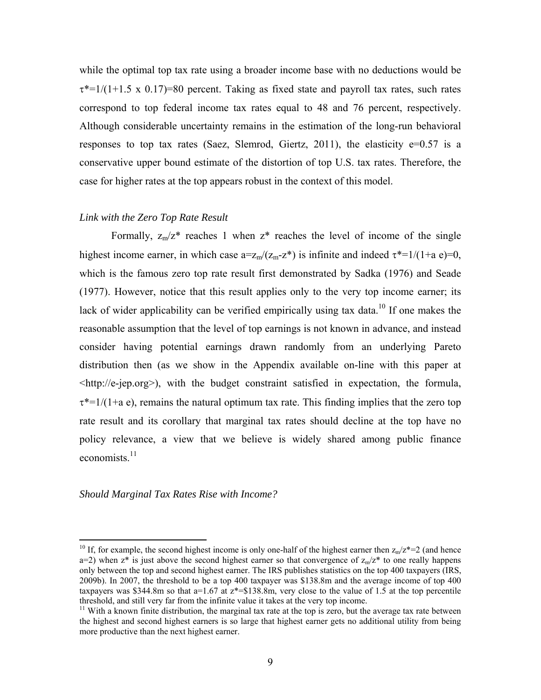while the optimal top tax rate using a broader income base with no deductions would be  $\tau^*=1/(1+1.5 \times 0.17)=80$  percent. Taking as fixed state and payroll tax rates, such rates correspond to top federal income tax rates equal to 48 and 76 percent, respectively. Although considerable uncertainty remains in the estimation of the long-run behavioral responses to top tax rates (Saez, Slemrod, Giertz, 2011), the elasticity  $e=0.57$  is a conservative upper bound estimate of the distortion of top U.S. tax rates. Therefore, the case for higher rates at the top appears robust in the context of this model.

#### *Link with the Zero Top Rate Result*

Formally,  $z_m/z^*$  reaches 1 when  $z^*$  reaches the level of income of the single highest income earner, in which case  $a=z_m/(z_m-z^*)$  is infinite and indeed  $\tau^*=1/(1+a e)=0$ , which is the famous zero top rate result first demonstrated by Sadka (1976) and Seade (1977). However, notice that this result applies only to the very top income earner; its lack of wider applicability can be verified empirically using tax data.<sup>10</sup> If one makes the reasonable assumption that the level of top earnings is not known in advance, and instead consider having potential earnings drawn randomly from an underlying Pareto distribution then (as we show in the Appendix available on-line with this paper at <http://e-jep.org>), with the budget constraint satisfied in expectation, the formula,  $\tau^*=1/(1+a e)$ , remains the natural optimum tax rate. This finding implies that the zero top rate result and its corollary that marginal tax rates should decline at the top have no policy relevance, a view that we believe is widely shared among public finance economists.<sup>11</sup>

#### *Should Marginal Tax Rates Rise with Income?*

1

<sup>&</sup>lt;sup>10</sup> If, for example, the second highest income is only one-half of the highest earner then  $z_m/z^*=2$  (and hence a=2) when  $z^*$  is just above the second highest earner so that convergence of  $z_m/z^*$  to one really happens only between the top and second highest earner. The IRS publishes statistics on the top 400 taxpayers (IRS, 2009b). In 2007, the threshold to be a top 400 taxpayer was \$138.8m and the average income of top 400 taxpayers was \$344.8m so that  $a=1.67$  at  $z^*$ =\$138.8m, very close to the value of 1.5 at the top percentile threshold, and still very far from the infinite value it takes at the very top income.

 $11$  With a known finite distribution, the marginal tax rate at the top is zero, but the average tax rate between the highest and second highest earners is so large that highest earner gets no additional utility from being more productive than the next highest earner.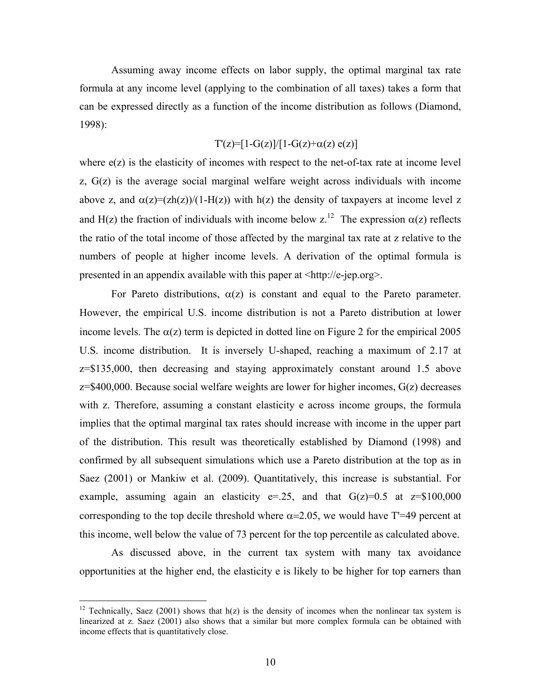Assuming away income effects on labor supply, the optimal marginal tax rate formula at any income level (applying to the combination of all taxes) takes a form that can be expressed directly as a function of the income distribution as follows (Diamond, 1998):

### $T'(z)=[1-G(z)]/[1-G(z)+\alpha(z) e(z)]$

where  $e(z)$  is the elasticity of incomes with respect to the net-of-tax rate at income level z, G(z) is the average social marginal welfare weight across individuals with income above z, and  $\alpha(z)=(zh(z))/(1-H(z))$  with h(z) the density of taxpayers at income level z and H(z) the fraction of individuals with income below z.<sup>12</sup> The expression  $\alpha(z)$  reflects the ratio of the total income of those affected by the marginal tax rate at z relative to the numbers of people at higher income levels. A derivation of the optimal formula is presented in an appendix available with this paper at <http://e-jep.org>.

For Pareto distributions,  $\alpha(z)$  is constant and equal to the Pareto parameter. However, the empirical U.S. income distribution is not a Pareto distribution at lower income levels. The  $\alpha(z)$  term is depicted in dotted line on Figure 2 for the empirical 2005 U.S. income distribution. It is inversely U-shaped, reaching a maximum of 2.17 at z=\$135,000, then decreasing and staying approximately constant around 1.5 above  $z=$ \$400,000. Because social welfare weights are lower for higher incomes,  $G(z)$  decreases with z. Therefore, assuming a constant elasticity e across income groups, the formula implies that the optimal marginal tax rates should increase with income in the upper part of the distribution. This result was theoretically established by Diamond (1998) and confirmed by all subsequent simulations which use a Pareto distribution at the top as in Saez (2001) or Mankiw et al. (2009). Quantitatively, this increase is substantial. For example, assuming again an elasticity  $e=.25$ , and that  $G(z)=0.5$  at  $z=\$100,000$ corresponding to the top decile threshold where  $\alpha = 2.05$ , we would have T'=49 percent at this income, well below the value of 73 percent for the top percentile as calculated above.

 As discussed above, in the current tax system with many tax avoidance opportunities at the higher end, the elasticity e is likely to be higher for top earners than

 $\overline{a}$ 

<sup>&</sup>lt;sup>12</sup> Technically, Saez (2001) shows that  $h(z)$  is the density of incomes when the nonlinear tax system is linearized at z. Saez (2001) also shows that a similar but more complex formula can be obtained with income effects that is quantitatively close.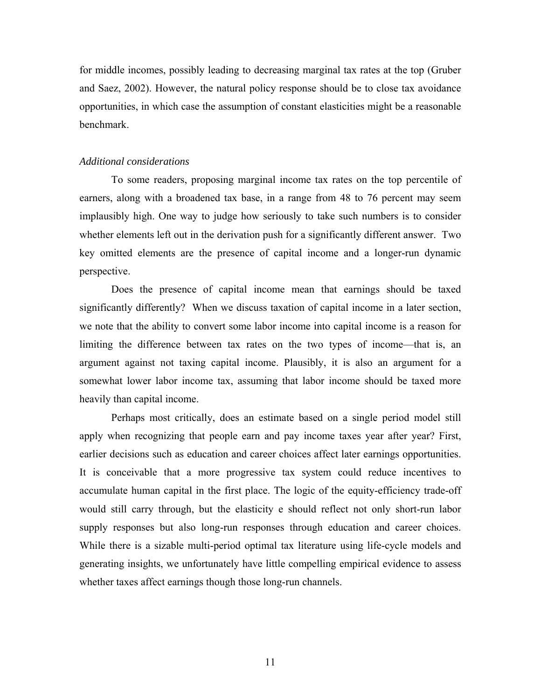for middle incomes, possibly leading to decreasing marginal tax rates at the top (Gruber and Saez, 2002). However, the natural policy response should be to close tax avoidance opportunities, in which case the assumption of constant elasticities might be a reasonable benchmark.

#### *Additional considerations*

To some readers, proposing marginal income tax rates on the top percentile of earners, along with a broadened tax base, in a range from 48 to 76 percent may seem implausibly high. One way to judge how seriously to take such numbers is to consider whether elements left out in the derivation push for a significantly different answer. Two key omitted elements are the presence of capital income and a longer-run dynamic perspective.

Does the presence of capital income mean that earnings should be taxed significantly differently? When we discuss taxation of capital income in a later section, we note that the ability to convert some labor income into capital income is a reason for limiting the difference between tax rates on the two types of income—that is, an argument against not taxing capital income. Plausibly, it is also an argument for a somewhat lower labor income tax, assuming that labor income should be taxed more heavily than capital income.

Perhaps most critically, does an estimate based on a single period model still apply when recognizing that people earn and pay income taxes year after year? First, earlier decisions such as education and career choices affect later earnings opportunities. It is conceivable that a more progressive tax system could reduce incentives to accumulate human capital in the first place. The logic of the equity-efficiency trade-off would still carry through, but the elasticity e should reflect not only short-run labor supply responses but also long-run responses through education and career choices. While there is a sizable multi-period optimal tax literature using life-cycle models and generating insights, we unfortunately have little compelling empirical evidence to assess whether taxes affect earnings though those long-run channels.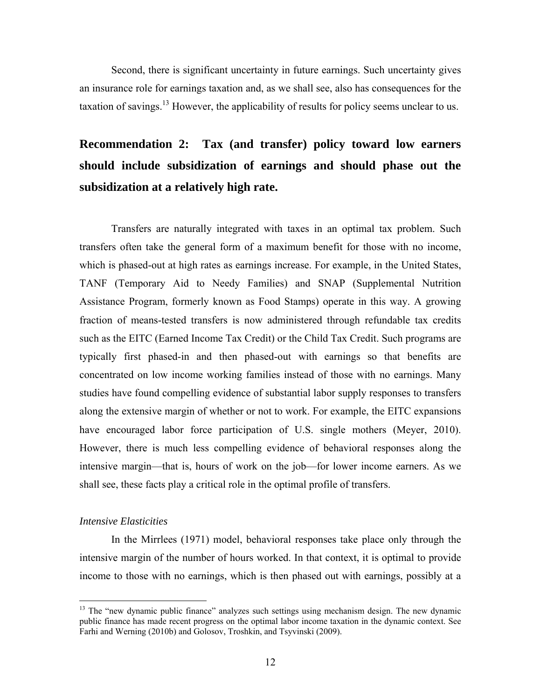Second, there is significant uncertainty in future earnings. Such uncertainty gives an insurance role for earnings taxation and, as we shall see, also has consequences for the taxation of savings.<sup>13</sup> However, the applicability of results for policy seems unclear to us.

# **Recommendation 2: Tax (and transfer) policy toward low earners should include subsidization of earnings and should phase out the subsidization at a relatively high rate.**

Transfers are naturally integrated with taxes in an optimal tax problem. Such transfers often take the general form of a maximum benefit for those with no income, which is phased-out at high rates as earnings increase. For example, in the United States, TANF (Temporary Aid to Needy Families) and SNAP (Supplemental Nutrition Assistance Program, formerly known as Food Stamps) operate in this way. A growing fraction of means-tested transfers is now administered through refundable tax credits such as the EITC (Earned Income Tax Credit) or the Child Tax Credit. Such programs are typically first phased-in and then phased-out with earnings so that benefits are concentrated on low income working families instead of those with no earnings. Many studies have found compelling evidence of substantial labor supply responses to transfers along the extensive margin of whether or not to work. For example, the EITC expansions have encouraged labor force participation of U.S. single mothers (Meyer, 2010). However, there is much less compelling evidence of behavioral responses along the intensive margin—that is, hours of work on the job—for lower income earners. As we shall see, these facts play a critical role in the optimal profile of transfers.

#### *Intensive Elasticities*

1

In the Mirrlees (1971) model, behavioral responses take place only through the intensive margin of the number of hours worked. In that context, it is optimal to provide income to those with no earnings, which is then phased out with earnings, possibly at a

<sup>&</sup>lt;sup>13</sup> The "new dynamic public finance" analyzes such settings using mechanism design. The new dynamic public finance has made recent progress on the optimal labor income taxation in the dynamic context. See Farhi and Werning (2010b) and Golosov, Troshkin, and Tsyvinski (2009).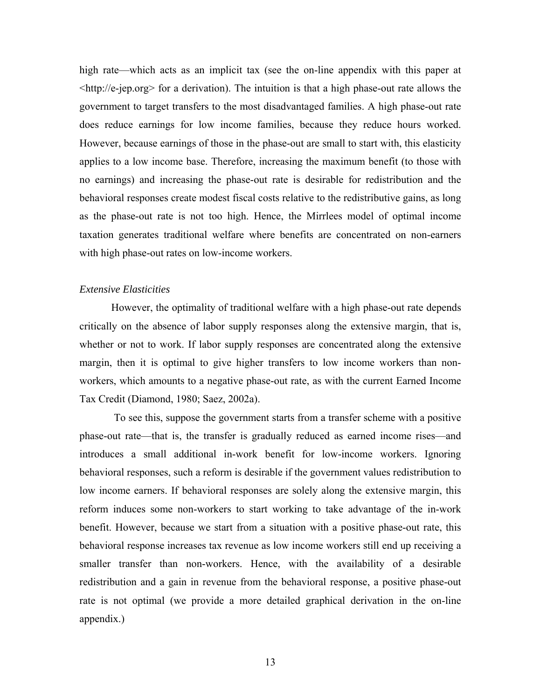high rate—which acts as an implicit tax (see the on-line appendix with this paper at  $\lt$ http://e-jep.org> for a derivation). The intuition is that a high phase-out rate allows the government to target transfers to the most disadvantaged families. A high phase-out rate does reduce earnings for low income families, because they reduce hours worked. However, because earnings of those in the phase-out are small to start with, this elasticity applies to a low income base. Therefore, increasing the maximum benefit (to those with no earnings) and increasing the phase-out rate is desirable for redistribution and the behavioral responses create modest fiscal costs relative to the redistributive gains, as long as the phase-out rate is not too high. Hence, the Mirrlees model of optimal income taxation generates traditional welfare where benefits are concentrated on non-earners with high phase-out rates on low-income workers.

#### *Extensive Elasticities*

However, the optimality of traditional welfare with a high phase-out rate depends critically on the absence of labor supply responses along the extensive margin, that is, whether or not to work. If labor supply responses are concentrated along the extensive margin, then it is optimal to give higher transfers to low income workers than nonworkers, which amounts to a negative phase-out rate, as with the current Earned Income Tax Credit (Diamond, 1980; Saez, 2002a).

 To see this, suppose the government starts from a transfer scheme with a positive phase-out rate—that is, the transfer is gradually reduced as earned income rises—and introduces a small additional in-work benefit for low-income workers. Ignoring behavioral responses, such a reform is desirable if the government values redistribution to low income earners. If behavioral responses are solely along the extensive margin, this reform induces some non-workers to start working to take advantage of the in-work benefit. However, because we start from a situation with a positive phase-out rate, this behavioral response increases tax revenue as low income workers still end up receiving a smaller transfer than non-workers. Hence, with the availability of a desirable redistribution and a gain in revenue from the behavioral response, a positive phase-out rate is not optimal (we provide a more detailed graphical derivation in the on-line appendix.)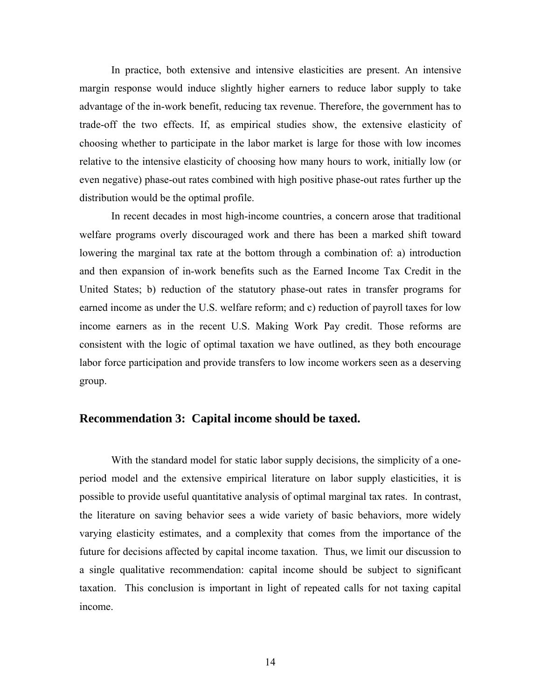In practice, both extensive and intensive elasticities are present. An intensive margin response would induce slightly higher earners to reduce labor supply to take advantage of the in-work benefit, reducing tax revenue. Therefore, the government has to trade-off the two effects. If, as empirical studies show, the extensive elasticity of choosing whether to participate in the labor market is large for those with low incomes relative to the intensive elasticity of choosing how many hours to work, initially low (or even negative) phase-out rates combined with high positive phase-out rates further up the distribution would be the optimal profile.

 In recent decades in most high-income countries, a concern arose that traditional welfare programs overly discouraged work and there has been a marked shift toward lowering the marginal tax rate at the bottom through a combination of: a) introduction and then expansion of in-work benefits such as the Earned Income Tax Credit in the United States; b) reduction of the statutory phase-out rates in transfer programs for earned income as under the U.S. welfare reform; and c) reduction of payroll taxes for low income earners as in the recent U.S. Making Work Pay credit. Those reforms are consistent with the logic of optimal taxation we have outlined, as they both encourage labor force participation and provide transfers to low income workers seen as a deserving group.

### **Recommendation 3: Capital income should be taxed.**

With the standard model for static labor supply decisions, the simplicity of a oneperiod model and the extensive empirical literature on labor supply elasticities, it is possible to provide useful quantitative analysis of optimal marginal tax rates. In contrast, the literature on saving behavior sees a wide variety of basic behaviors, more widely varying elasticity estimates, and a complexity that comes from the importance of the future for decisions affected by capital income taxation. Thus, we limit our discussion to a single qualitative recommendation: capital income should be subject to significant taxation. This conclusion is important in light of repeated calls for not taxing capital income.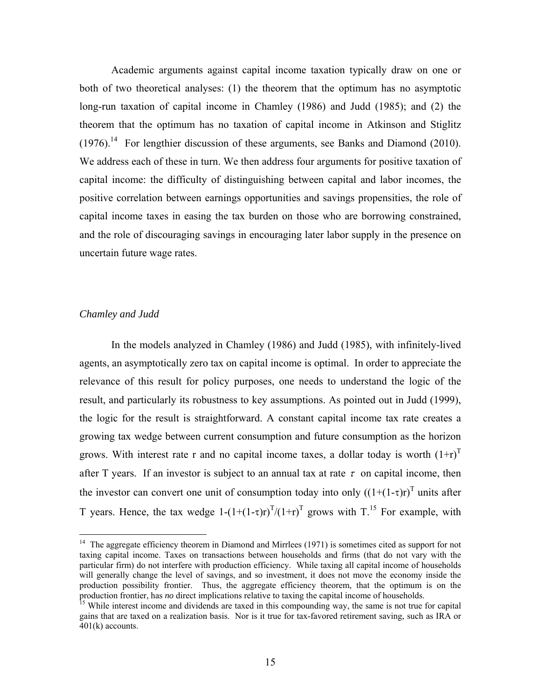Academic arguments against capital income taxation typically draw on one or both of two theoretical analyses: (1) the theorem that the optimum has no asymptotic long-run taxation of capital income in Chamley (1986) and Judd (1985); and (2) the theorem that the optimum has no taxation of capital income in Atkinson and Stiglitz  $(1976)$ <sup>14</sup> For lengthier discussion of these arguments, see Banks and Diamond (2010). We address each of these in turn. We then address four arguments for positive taxation of capital income: the difficulty of distinguishing between capital and labor incomes, the positive correlation between earnings opportunities and savings propensities, the role of capital income taxes in easing the tax burden on those who are borrowing constrained, and the role of discouraging savings in encouraging later labor supply in the presence on uncertain future wage rates.

#### *Chamley and Judd*

1

In the models analyzed in Chamley (1986) and Judd (1985), with infinitely-lived agents, an asymptotically zero tax on capital income is optimal. In order to appreciate the relevance of this result for policy purposes, one needs to understand the logic of the result, and particularly its robustness to key assumptions. As pointed out in Judd (1999), the logic for the result is straightforward. A constant capital income tax rate creates a growing tax wedge between current consumption and future consumption as the horizon grows. With interest rate r and no capital income taxes, a dollar today is worth  $(1+r)^T$ after T years. If an investor is subject to an annual tax at rate  $\tau$  on capital income, then the investor can convert one unit of consumption today into only  $((1+(1-\tau)r)^T$  units after T years. Hence, the tax wedge  $1-(1+(1-\tau)r)^T/(1+r)^T$  grows with T.<sup>15</sup> For example, with

<sup>&</sup>lt;sup>14</sup> The aggregate efficiency theorem in Diamond and Mirrlees (1971) is sometimes cited as support for not taxing capital income. Taxes on transactions between households and firms (that do not vary with the particular firm) do not interfere with production efficiency. While taxing all capital income of households will generally change the level of savings, and so investment, it does not move the economy inside the production possibility frontier. Thus, the aggregate efficiency theorem, that the optimum is on the production frontier, has *no* direct implications relative to taxing the capital income of households.<sup>15</sup> While interest income and dividends are taxed in this compounding way, the same is not true for capital

gains that are taxed on a realization basis. Nor is it true for tax-favored retirement saving, such as IRA or 401(k) accounts.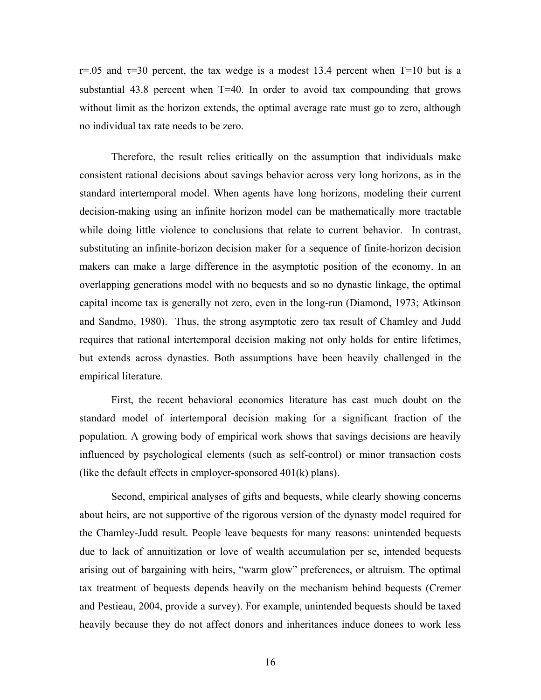$r=0.05$  and  $\tau=30$  percent, the tax wedge is a modest 13.4 percent when T=10 but is a substantial 43.8 percent when T=40. In order to avoid tax compounding that grows without limit as the horizon extends, the optimal average rate must go to zero, although no individual tax rate needs to be zero.

Therefore, the result relies critically on the assumption that individuals make consistent rational decisions about savings behavior across very long horizons, as in the standard intertemporal model. When agents have long horizons, modeling their current decision-making using an infinite horizon model can be mathematically more tractable while doing little violence to conclusions that relate to current behavior. In contrast, substituting an infinite-horizon decision maker for a sequence of finite-horizon decision makers can make a large difference in the asymptotic position of the economy. In an overlapping generations model with no bequests and so no dynastic linkage, the optimal capital income tax is generally not zero, even in the long-run (Diamond, 1973; Atkinson and Sandmo, 1980). Thus, the strong asymptotic zero tax result of Chamley and Judd requires that rational intertemporal decision making not only holds for entire lifetimes, but extends across dynasties. Both assumptions have been heavily challenged in the empirical literature.

First, the recent behavioral economics literature has cast much doubt on the standard model of intertemporal decision making for a significant fraction of the population. A growing body of empirical work shows that savings decisions are heavily influenced by psychological elements (such as self-control) or minor transaction costs (like the default effects in employer-sponsored  $401(k)$  plans).

Second, empirical analyses of gifts and bequests, while clearly showing concerns about heirs, are not supportive of the rigorous version of the dynasty model required for the Chamley-Judd result. People leave bequests for many reasons: unintended bequests due to lack of annuitization or love of wealth accumulation per se, intended bequests arising out of bargaining with heirs, "warm glow" preferences, or altruism. The optimal tax treatment of bequests depends heavily on the mechanism behind bequests (Cremer and Pestieau, 2004, provide a survey). For example, unintended bequests should be taxed heavily because they do not affect donors and inheritances induce donees to work less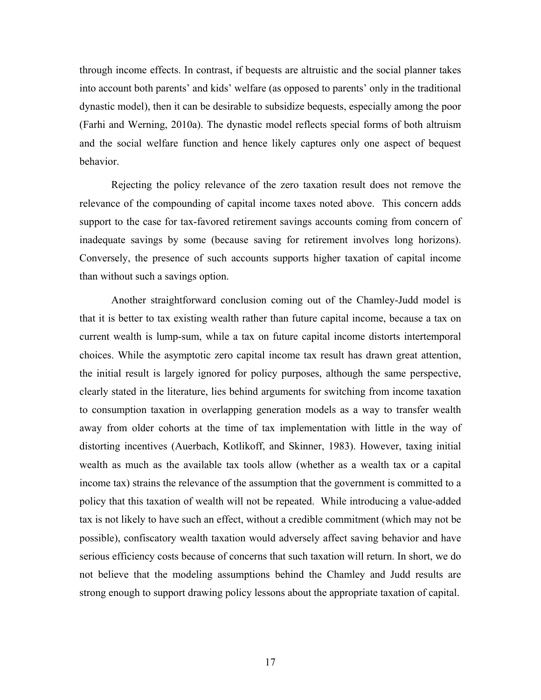through income effects. In contrast, if bequests are altruistic and the social planner takes into account both parents' and kids' welfare (as opposed to parents' only in the traditional dynastic model), then it can be desirable to subsidize bequests, especially among the poor (Farhi and Werning, 2010a). The dynastic model reflects special forms of both altruism and the social welfare function and hence likely captures only one aspect of bequest behavior.

Rejecting the policy relevance of the zero taxation result does not remove the relevance of the compounding of capital income taxes noted above. This concern adds support to the case for tax-favored retirement savings accounts coming from concern of inadequate savings by some (because saving for retirement involves long horizons). Conversely, the presence of such accounts supports higher taxation of capital income than without such a savings option.

Another straightforward conclusion coming out of the Chamley-Judd model is that it is better to tax existing wealth rather than future capital income, because a tax on current wealth is lump-sum, while a tax on future capital income distorts intertemporal choices. While the asymptotic zero capital income tax result has drawn great attention, the initial result is largely ignored for policy purposes, although the same perspective, clearly stated in the literature, lies behind arguments for switching from income taxation to consumption taxation in overlapping generation models as a way to transfer wealth away from older cohorts at the time of tax implementation with little in the way of distorting incentives (Auerbach, Kotlikoff, and Skinner, 1983). However, taxing initial wealth as much as the available tax tools allow (whether as a wealth tax or a capital income tax) strains the relevance of the assumption that the government is committed to a policy that this taxation of wealth will not be repeated. While introducing a value-added tax is not likely to have such an effect, without a credible commitment (which may not be possible), confiscatory wealth taxation would adversely affect saving behavior and have serious efficiency costs because of concerns that such taxation will return. In short, we do not believe that the modeling assumptions behind the Chamley and Judd results are strong enough to support drawing policy lessons about the appropriate taxation of capital.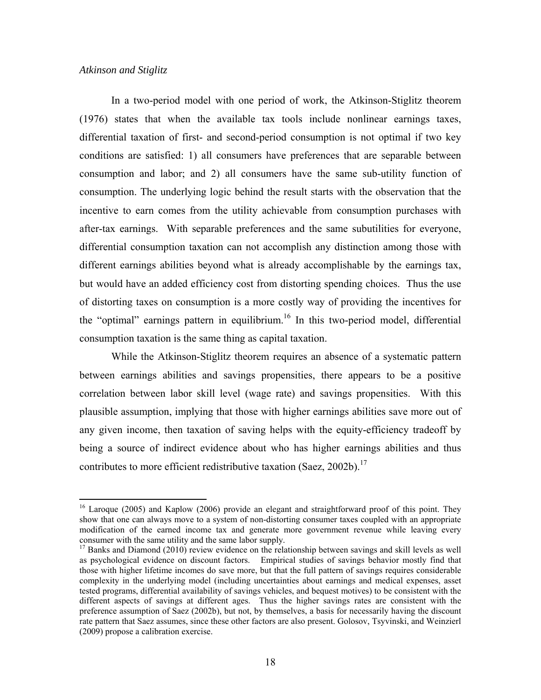#### *Atkinson and Stiglitz*

 $\overline{a}$ 

In a two-period model with one period of work, the Atkinson-Stiglitz theorem (1976) states that when the available tax tools include nonlinear earnings taxes, differential taxation of first- and second-period consumption is not optimal if two key conditions are satisfied: 1) all consumers have preferences that are separable between consumption and labor; and 2) all consumers have the same sub-utility function of consumption. The underlying logic behind the result starts with the observation that the incentive to earn comes from the utility achievable from consumption purchases with after-tax earnings. With separable preferences and the same subutilities for everyone, differential consumption taxation can not accomplish any distinction among those with different earnings abilities beyond what is already accomplishable by the earnings tax, but would have an added efficiency cost from distorting spending choices. Thus the use of distorting taxes on consumption is a more costly way of providing the incentives for the "optimal" earnings pattern in equilibrium.<sup>16</sup> In this two-period model, differential consumption taxation is the same thing as capital taxation.

While the Atkinson-Stiglitz theorem requires an absence of a systematic pattern between earnings abilities and savings propensities, there appears to be a positive correlation between labor skill level (wage rate) and savings propensities. With this plausible assumption, implying that those with higher earnings abilities save more out of any given income, then taxation of saving helps with the equity-efficiency tradeoff by being a source of indirect evidence about who has higher earnings abilities and thus contributes to more efficient redistributive taxation (Saez, 2002b).<sup>17</sup>

<sup>&</sup>lt;sup>16</sup> Laroque (2005) and Kaplow (2006) provide an elegant and straightforward proof of this point. They show that one can always move to a system of non-distorting consumer taxes coupled with an appropriate modification of the earned income tax and generate more government revenue while leaving every consumer with the same utility and the same labor supply.

<sup>&</sup>lt;sup>17</sup> Banks and Diamond (2010) review evidence on the relationship between savings and skill levels as well as psychological evidence on discount factors. Empirical studies of savings behavior mostly find that those with higher lifetime incomes do save more, but that the full pattern of savings requires considerable complexity in the underlying model (including uncertainties about earnings and medical expenses, asset tested programs, differential availability of savings vehicles, and bequest motives) to be consistent with the different aspects of savings at different ages. Thus the higher savings rates are consistent with the preference assumption of Saez (2002b), but not, by themselves, a basis for necessarily having the discount rate pattern that Saez assumes, since these other factors are also present. Golosov, Tsyvinski, and Weinzierl (2009) propose a calibration exercise.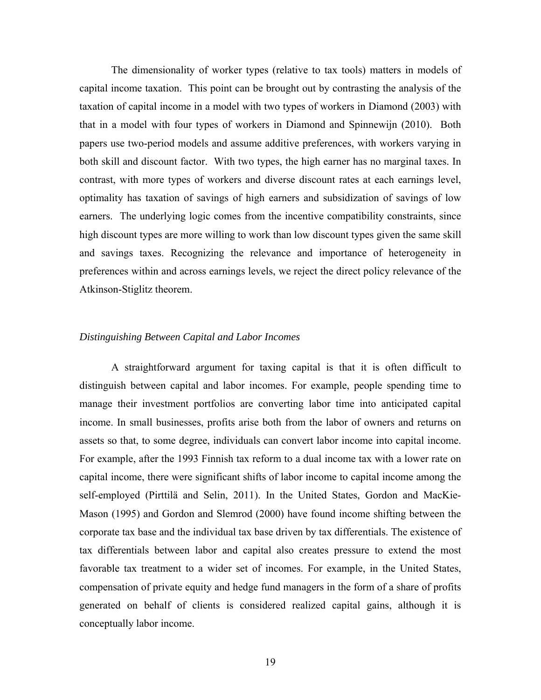The dimensionality of worker types (relative to tax tools) matters in models of capital income taxation. This point can be brought out by contrasting the analysis of the taxation of capital income in a model with two types of workers in Diamond (2003) with that in a model with four types of workers in Diamond and Spinnewijn (2010). Both papers use two-period models and assume additive preferences, with workers varying in both skill and discount factor. With two types, the high earner has no marginal taxes. In contrast, with more types of workers and diverse discount rates at each earnings level, optimality has taxation of savings of high earners and subsidization of savings of low earners. The underlying logic comes from the incentive compatibility constraints, since high discount types are more willing to work than low discount types given the same skill and savings taxes. Recognizing the relevance and importance of heterogeneity in preferences within and across earnings levels, we reject the direct policy relevance of the Atkinson-Stiglitz theorem.

#### *Distinguishing Between Capital and Labor Incomes*

A straightforward argument for taxing capital is that it is often difficult to distinguish between capital and labor incomes. For example, people spending time to manage their investment portfolios are converting labor time into anticipated capital income. In small businesses, profits arise both from the labor of owners and returns on assets so that, to some degree, individuals can convert labor income into capital income. For example, after the 1993 Finnish tax reform to a dual income tax with a lower rate on capital income, there were significant shifts of labor income to capital income among the self-employed (Pirttilä and Selin, 2011). In the United States, Gordon and MacKie-Mason (1995) and Gordon and Slemrod (2000) have found income shifting between the corporate tax base and the individual tax base driven by tax differentials. The existence of tax differentials between labor and capital also creates pressure to extend the most favorable tax treatment to a wider set of incomes. For example, in the United States, compensation of private equity and hedge fund managers in the form of a share of profits generated on behalf of clients is considered realized capital gains, although it is conceptually labor income.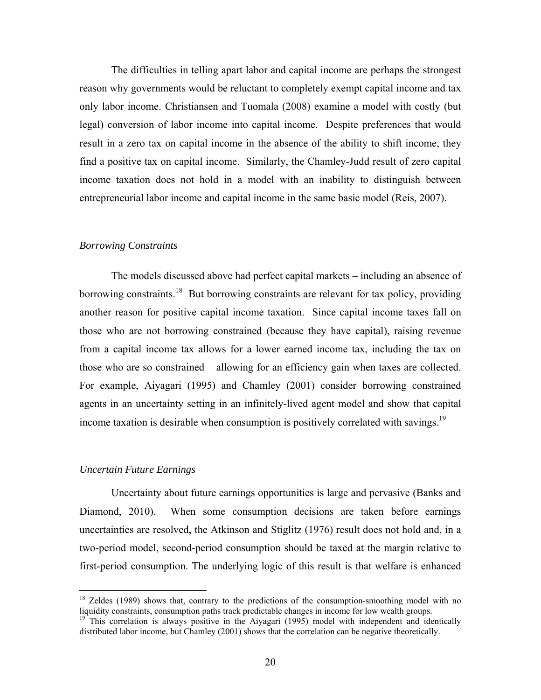The difficulties in telling apart labor and capital income are perhaps the strongest reason why governments would be reluctant to completely exempt capital income and tax only labor income. Christiansen and Tuomala (2008) examine a model with costly (but legal) conversion of labor income into capital income. Despite preferences that would result in a zero tax on capital income in the absence of the ability to shift income, they find a positive tax on capital income. Similarly, the Chamley-Judd result of zero capital income taxation does not hold in a model with an inability to distinguish between entrepreneurial labor income and capital income in the same basic model (Reis, 2007).

#### *Borrowing Constraints*

The models discussed above had perfect capital markets – including an absence of borrowing constraints.<sup>18</sup> But borrowing constraints are relevant for tax policy, providing another reason for positive capital income taxation. Since capital income taxes fall on those who are not borrowing constrained (because they have capital), raising revenue from a capital income tax allows for a lower earned income tax, including the tax on those who are so constrained – allowing for an efficiency gain when taxes are collected. For example, Aiyagari (1995) and Chamley (2001) consider borrowing constrained agents in an uncertainty setting in an infinitely-lived agent model and show that capital income taxation is desirable when consumption is positively correlated with savings.<sup>19</sup>

#### *Uncertain Future Earnings*

<u>.</u>

Uncertainty about future earnings opportunities is large and pervasive (Banks and Diamond, 2010). When some consumption decisions are taken before earnings uncertainties are resolved, the Atkinson and Stiglitz (1976) result does not hold and, in a two-period model, second-period consumption should be taxed at the margin relative to first-period consumption. The underlying logic of this result is that welfare is enhanced

 $18$  Zeldes (1989) shows that, contrary to the predictions of the consumption-smoothing model with no liquidity constraints, consumption paths track predictable changes in income for low wealth groups.

<sup>&</sup>lt;sup>19</sup> This correlation is always positive in the Aiyagari (1995) model with independent and identically distributed labor income, but Chamley (2001) shows that the correlation can be negative theoretically.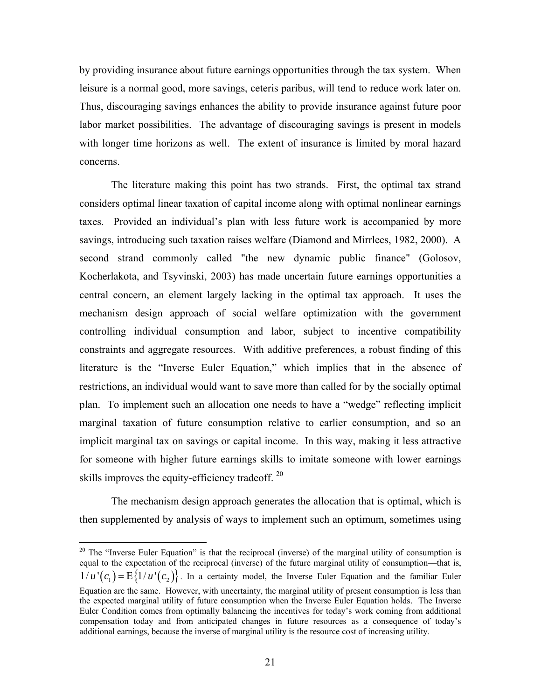by providing insurance about future earnings opportunities through the tax system. When leisure is a normal good, more savings, ceteris paribus, will tend to reduce work later on. Thus, discouraging savings enhances the ability to provide insurance against future poor labor market possibilities. The advantage of discouraging savings is present in models with longer time horizons as well. The extent of insurance is limited by moral hazard concerns.

The literature making this point has two strands. First, the optimal tax strand considers optimal linear taxation of capital income along with optimal nonlinear earnings taxes. Provided an individual's plan with less future work is accompanied by more savings, introducing such taxation raises welfare (Diamond and Mirrlees, 1982, 2000). A second strand commonly called "the new dynamic public finance" (Golosov, Kocherlakota, and Tsyvinski, 2003) has made uncertain future earnings opportunities a central concern, an element largely lacking in the optimal tax approach. It uses the mechanism design approach of social welfare optimization with the government controlling individual consumption and labor, subject to incentive compatibility constraints and aggregate resources. With additive preferences, a robust finding of this literature is the "Inverse Euler Equation," which implies that in the absence of restrictions, an individual would want to save more than called for by the socially optimal plan. To implement such an allocation one needs to have a "wedge" reflecting implicit marginal taxation of future consumption relative to earlier consumption, and so an implicit marginal tax on savings or capital income. In this way, making it less attractive for someone with higher future earnings skills to imitate someone with lower earnings skills improves the equity-efficiency tradeoff.  $20$ 

The mechanism design approach generates the allocation that is optimal, which is then supplemented by analysis of ways to implement such an optimum, sometimes using

 $20$  The "Inverse Euler Equation" is that the reciprocal (inverse) of the marginal utility of consumption is equal to the expectation of the reciprocal (inverse) of the future marginal utility of consumption—that is,  $1/u'(c_1) = E\{1/u'(c_2)\}\.$  In a certainty model, the Inverse Euler Equation and the familiar Euler

 $\overline{a}$ 

Equation are the same. However, with uncertainty, the marginal utility of present consumption is less than the expected marginal utility of future consumption when the Inverse Euler Equation holds. The Inverse Euler Condition comes from optimally balancing the incentives for today's work coming from additional compensation today and from anticipated changes in future resources as a consequence of today's additional earnings, because the inverse of marginal utility is the resource cost of increasing utility.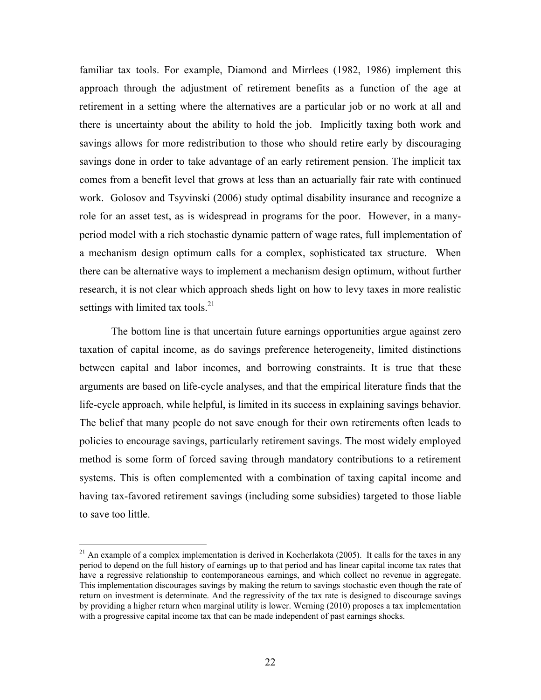familiar tax tools. For example, Diamond and Mirrlees (1982, 1986) implement this approach through the adjustment of retirement benefits as a function of the age at retirement in a setting where the alternatives are a particular job or no work at all and there is uncertainty about the ability to hold the job. Implicitly taxing both work and savings allows for more redistribution to those who should retire early by discouraging savings done in order to take advantage of an early retirement pension. The implicit tax comes from a benefit level that grows at less than an actuarially fair rate with continued work. Golosov and Tsyvinski (2006) study optimal disability insurance and recognize a role for an asset test, as is widespread in programs for the poor. However, in a manyperiod model with a rich stochastic dynamic pattern of wage rates, full implementation of a mechanism design optimum calls for a complex, sophisticated tax structure. When there can be alternative ways to implement a mechanism design optimum, without further research, it is not clear which approach sheds light on how to levy taxes in more realistic settings with limited tax tools. $^{21}$ 

The bottom line is that uncertain future earnings opportunities argue against zero taxation of capital income, as do savings preference heterogeneity, limited distinctions between capital and labor incomes, and borrowing constraints. It is true that these arguments are based on life-cycle analyses, and that the empirical literature finds that the life-cycle approach, while helpful, is limited in its success in explaining savings behavior. The belief that many people do not save enough for their own retirements often leads to policies to encourage savings, particularly retirement savings. The most widely employed method is some form of forced saving through mandatory contributions to a retirement systems. This is often complemented with a combination of taxing capital income and having tax-favored retirement savings (including some subsidies) targeted to those liable to save too little.

1

<sup>&</sup>lt;sup>21</sup> An example of a complex implementation is derived in Kocherlakota (2005). It calls for the taxes in any period to depend on the full history of earnings up to that period and has linear capital income tax rates that have a regressive relationship to contemporaneous earnings, and which collect no revenue in aggregate. This implementation discourages savings by making the return to savings stochastic even though the rate of return on investment is determinate. And the regressivity of the tax rate is designed to discourage savings by providing a higher return when marginal utility is lower. Werning (2010) proposes a tax implementation with a progressive capital income tax that can be made independent of past earnings shocks.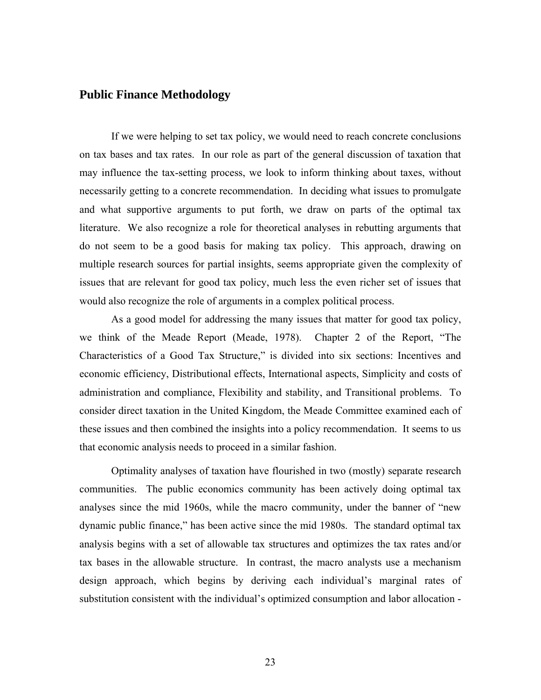### **Public Finance Methodology**

If we were helping to set tax policy, we would need to reach concrete conclusions on tax bases and tax rates. In our role as part of the general discussion of taxation that may influence the tax-setting process, we look to inform thinking about taxes, without necessarily getting to a concrete recommendation. In deciding what issues to promulgate and what supportive arguments to put forth, we draw on parts of the optimal tax literature. We also recognize a role for theoretical analyses in rebutting arguments that do not seem to be a good basis for making tax policy. This approach, drawing on multiple research sources for partial insights, seems appropriate given the complexity of issues that are relevant for good tax policy, much less the even richer set of issues that would also recognize the role of arguments in a complex political process.

As a good model for addressing the many issues that matter for good tax policy, we think of the Meade Report (Meade, 1978). Chapter 2 of the Report, "The Characteristics of a Good Tax Structure," is divided into six sections: Incentives and economic efficiency, Distributional effects, International aspects, Simplicity and costs of administration and compliance, Flexibility and stability, and Transitional problems. To consider direct taxation in the United Kingdom, the Meade Committee examined each of these issues and then combined the insights into a policy recommendation. It seems to us that economic analysis needs to proceed in a similar fashion.

Optimality analyses of taxation have flourished in two (mostly) separate research communities. The public economics community has been actively doing optimal tax analyses since the mid 1960s, while the macro community, under the banner of "new dynamic public finance," has been active since the mid 1980s. The standard optimal tax analysis begins with a set of allowable tax structures and optimizes the tax rates and/or tax bases in the allowable structure. In contrast, the macro analysts use a mechanism design approach, which begins by deriving each individual's marginal rates of substitution consistent with the individual's optimized consumption and labor allocation -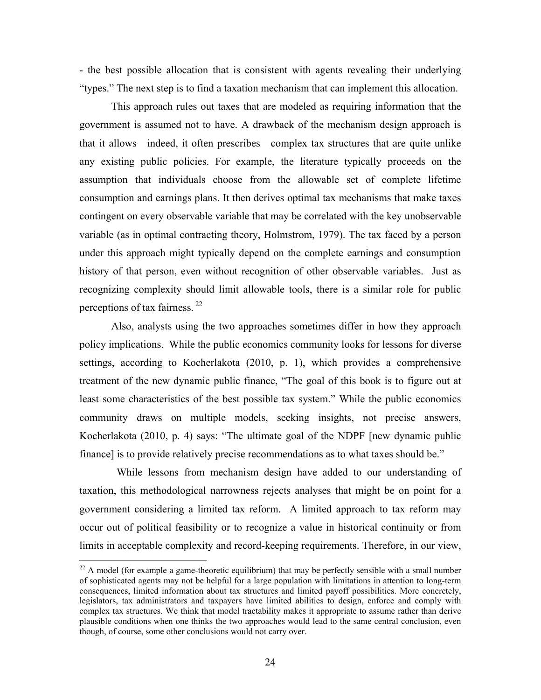- the best possible allocation that is consistent with agents revealing their underlying "types." The next step is to find a taxation mechanism that can implement this allocation.

This approach rules out taxes that are modeled as requiring information that the government is assumed not to have. A drawback of the mechanism design approach is that it allows—indeed, it often prescribes—complex tax structures that are quite unlike any existing public policies. For example, the literature typically proceeds on the assumption that individuals choose from the allowable set of complete lifetime consumption and earnings plans. It then derives optimal tax mechanisms that make taxes contingent on every observable variable that may be correlated with the key unobservable variable (as in optimal contracting theory, Holmstrom, 1979). The tax faced by a person under this approach might typically depend on the complete earnings and consumption history of that person, even without recognition of other observable variables. Just as recognizing complexity should limit allowable tools, there is a similar role for public perceptions of tax fairness.<sup>22</sup>

Also, analysts using the two approaches sometimes differ in how they approach policy implications. While the public economics community looks for lessons for diverse settings, according to Kocherlakota (2010, p. 1), which provides a comprehensive treatment of the new dynamic public finance, "The goal of this book is to figure out at least some characteristics of the best possible tax system." While the public economics community draws on multiple models, seeking insights, not precise answers, Kocherlakota (2010, p. 4) says: "The ultimate goal of the NDPF [new dynamic public finance] is to provide relatively precise recommendations as to what taxes should be."

 While lessons from mechanism design have added to our understanding of taxation, this methodological narrowness rejects analyses that might be on point for a government considering a limited tax reform. A limited approach to tax reform may occur out of political feasibility or to recognize a value in historical continuity or from limits in acceptable complexity and record-keeping requirements. Therefore, in our view,

 $\overline{a}$ 

 $^{22}$  A model (for example a game-theoretic equilibrium) that may be perfectly sensible with a small number of sophisticated agents may not be helpful for a large population with limitations in attention to long-term consequences, limited information about tax structures and limited payoff possibilities. More concretely, legislators, tax administrators and taxpayers have limited abilities to design, enforce and comply with complex tax structures. We think that model tractability makes it appropriate to assume rather than derive plausible conditions when one thinks the two approaches would lead to the same central conclusion, even though, of course, some other conclusions would not carry over.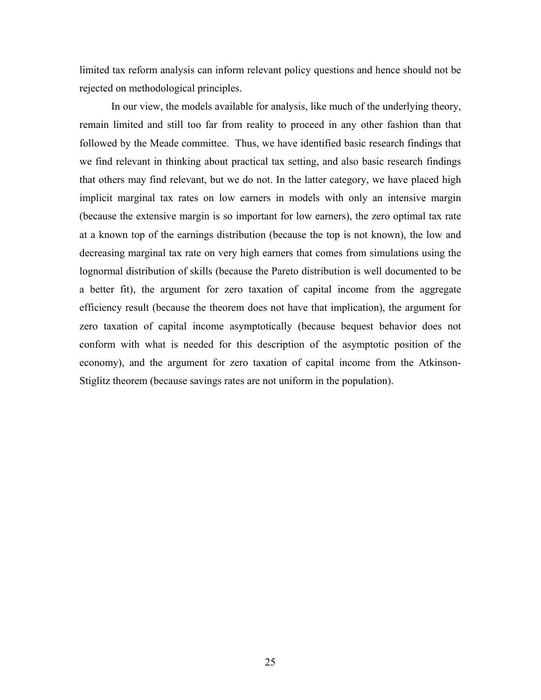limited tax reform analysis can inform relevant policy questions and hence should not be rejected on methodological principles.

 In our view, the models available for analysis, like much of the underlying theory, remain limited and still too far from reality to proceed in any other fashion than that followed by the Meade committee. Thus, we have identified basic research findings that we find relevant in thinking about practical tax setting, and also basic research findings that others may find relevant, but we do not. In the latter category, we have placed high implicit marginal tax rates on low earners in models with only an intensive margin (because the extensive margin is so important for low earners), the zero optimal tax rate at a known top of the earnings distribution (because the top is not known), the low and decreasing marginal tax rate on very high earners that comes from simulations using the lognormal distribution of skills (because the Pareto distribution is well documented to be a better fit), the argument for zero taxation of capital income from the aggregate efficiency result (because the theorem does not have that implication), the argument for zero taxation of capital income asymptotically (because bequest behavior does not conform with what is needed for this description of the asymptotic position of the economy), and the argument for zero taxation of capital income from the Atkinson-Stiglitz theorem (because savings rates are not uniform in the population).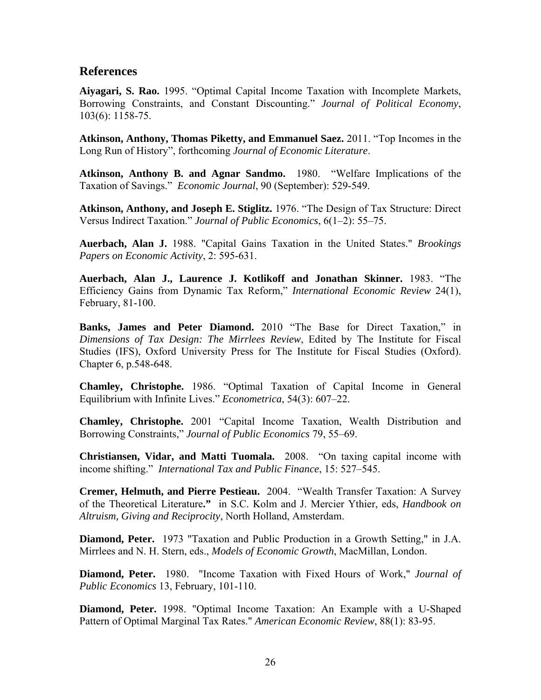### **References**

**Aiyagari, S. Rao.** 1995. "Optimal Capital Income Taxation with Incomplete Markets, Borrowing Constraints, and Constant Discounting." *Journal of Political Economy*, 103(6): 1158-75.

**Atkinson, Anthony, Thomas Piketty, and Emmanuel Saez.** 2011. "Top Incomes in the Long Run of History", forthcoming *Journal of Economic Literature*.

**Atkinson, Anthony B. and Agnar Sandmo.** 1980. "Welfare Implications of the Taxation of Savings." *Economic Journal*, 90 (September): 529-549.

**Atkinson, Anthony, and Joseph E. Stiglitz.** 1976. "The Design of Tax Structure: Direct Versus Indirect Taxation." *Journal of Public Economics*, 6(1–2): 55–75.

**Auerbach, Alan J.** 1988. "Capital Gains Taxation in the United States." *Brookings Papers on Economic Activity*, 2: 595-631.

**Auerbach, Alan J., Laurence J. Kotlikoff and Jonathan Skinner.** 1983. "The Efficiency Gains from Dynamic Tax Reform," *International Economic Review* 24(1), February, 81-100.

**Banks, James and Peter Diamond.** 2010 "The Base for Direct Taxation," in *Dimensions of Tax Design: The Mirrlees Review*, Edited by The Institute for Fiscal Studies (IFS), Oxford University Press for The Institute for Fiscal Studies (Oxford). Chapter 6, p.548-648.

**Chamley, Christophe.** 1986. "Optimal Taxation of Capital Income in General Equilibrium with Infinite Lives." *Econometrica*, 54(3): 607–22.

**Chamley, Christophe.** 2001 "Capital Income Taxation, Wealth Distribution and Borrowing Constraints," *Journal of Public Economics* 79, 55–69.

**Christiansen, Vidar, and Matti Tuomala.** 2008. "On taxing capital income with income shifting." *International Tax and Public Finance*, 15: 527–545.

**Cremer, Helmuth, and Pierre Pestieau.** 2004. "Wealth Transfer Taxation: A Survey of the Theoretical Literature**."** in S.C. Kolm and J. Mercier Ythier, eds, *Handbook on Altruism, Giving and Reciprocity*, North Holland, Amsterdam.

**Diamond, Peter.** 1973 "Taxation and Public Production in a Growth Setting," in J.A. Mirrlees and N. H. Stern, eds., *Models of Economic Growth*, MacMillan, London.

**Diamond, Peter.** 1980. "Income Taxation with Fixed Hours of Work," *Journal of Public Economics* 13, February, 101-110.

**Diamond, Peter.** 1998. "Optimal Income Taxation: An Example with a U-Shaped Pattern of Optimal Marginal Tax Rates." *American Economic Review*, 88(1): 83-95.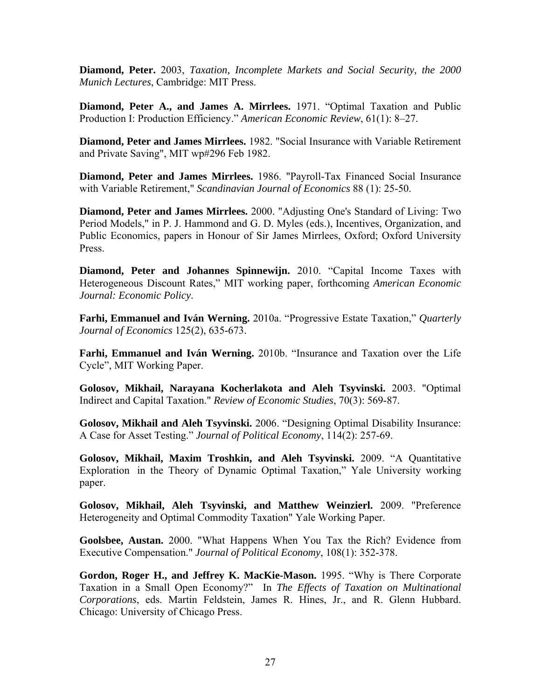**Diamond, Peter.** 2003, *Taxation, Incomplete Markets and Social Security, the 2000 Munich Lectures*, Cambridge: MIT Press.

**Diamond, Peter A., and James A. Mirrlees.** 1971. "Optimal Taxation and Public Production I: Production Efficiency." *American Economic Review*, 61(1): 8–27.

**Diamond, Peter and James Mirrlees.** 1982. "Social Insurance with Variable Retirement and Private Saving", MIT wp#296 Feb 1982.

**Diamond, Peter and James Mirrlees.** 1986. "Payroll-Tax Financed Social Insurance with Variable Retirement," *Scandinavian Journal of Economics* 88 (1): 25-50.

**Diamond, Peter and James Mirrlees.** 2000. "Adjusting One's Standard of Living: Two Period Models," in P. J. Hammond and G. D. Myles (eds.), Incentives, Organization, and Public Economics, papers in Honour of Sir James Mirrlees, Oxford; Oxford University Press.

**Diamond, Peter and Johannes Spinnewijn.** 2010. "Capital Income Taxes with Heterogeneous Discount Rates," MIT working paper, forthcoming *American Economic Journal: Economic Policy*.

**Farhi, Emmanuel and Iván Werning.** 2010a. "Progressive Estate Taxation," *Quarterly Journal of Economics* 125(2), 635-673.

**Farhi, Emmanuel and Iván Werning.** 2010b. "Insurance and Taxation over the Life Cycle", MIT Working Paper.

**Golosov, Mikhail, Narayana Kocherlakota and Aleh Tsyvinski.** 2003. "Optimal Indirect and Capital Taxation." *Review of Economic Studies*, 70(3): 569-87.

**Golosov, Mikhail and Aleh Tsyvinski.** 2006. "Designing Optimal Disability Insurance: A Case for Asset Testing." *Journal of Political Economy*, 114(2): 257-69.

**Golosov, Mikhail, Maxim Troshkin, and Aleh Tsyvinski.** 2009. "A Quantitative Exploration in the Theory of Dynamic Optimal Taxation," Yale University working paper.

**Golosov, Mikhail, Aleh Tsyvinski, and Matthew Weinzierl.** 2009. "Preference Heterogeneity and Optimal Commodity Taxation" Yale Working Paper.

**Goolsbee, Austan.** 2000. "What Happens When You Tax the Rich? Evidence from Executive Compensation." *Journal of Political Economy*, 108(1): 352-378.

**Gordon, Roger H., and Jeffrey K. MacKie-Mason.** 1995. "Why is There Corporate Taxation in a Small Open Economy?" In *The Effects of Taxation on Multinational Corporations*, eds. Martin Feldstein, James R. Hines, Jr., and R. Glenn Hubbard. Chicago: University of Chicago Press.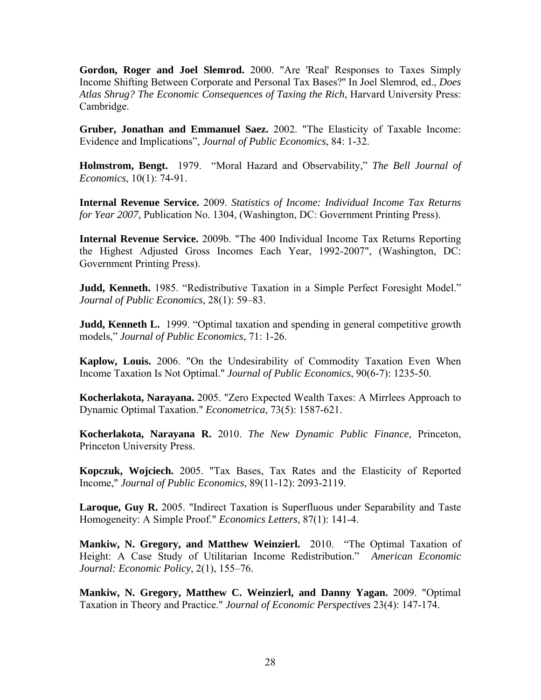**Gordon, Roger and Joel Slemrod.** 2000. "Are 'Real' Responses to Taxes Simply Income Shifting Between Corporate and Personal Tax Bases?'' In Joel Slemrod, ed., *Does Atlas Shrug? The Economic Consequences of Taxing the Rich*, Harvard University Press: Cambridge.

**Gruber, Jonathan and Emmanuel Saez.** 2002. "The Elasticity of Taxable Income: Evidence and Implications", *Journal of Public Economics*, 84: 1-32.

**Holmstrom, Bengt.** 1979. "Moral Hazard and Observability," *The Bell Journal of Economics*, 10(1): 74-91.

**Internal Revenue Service.** 2009. *Statistics of Income: Individual Income Tax Returns for Year 2007*, Publication No. 1304, (Washington, DC: Government Printing Press).

**Internal Revenue Service.** 2009b. "The 400 Individual Income Tax Returns Reporting the Highest Adjusted Gross Incomes Each Year, 1992-2007", (Washington, DC: Government Printing Press).

**Judd, Kenneth.** 1985. "Redistributive Taxation in a Simple Perfect Foresight Model." *Journal of Public Economics*, 28(1): 59–83.

**Judd, Kenneth L.** 1999. "Optimal taxation and spending in general competitive growth models," *Journal of Public Economics*, 71: 1-26.

**Kaplow, Louis.** 2006. "On the Undesirability of Commodity Taxation Even When Income Taxation Is Not Optimal." *Journal of Public Economics*, 90(6-7): 1235-50.

**Kocherlakota, Narayana.** 2005. "Zero Expected Wealth Taxes: A Mirrlees Approach to Dynamic Optimal Taxation." *Econometrica*, 73(5): 1587-621.

**Kocherlakota, Narayana R.** 2010. *The New Dynamic Public Finance*, Princeton, Princeton University Press.

**Kopczuk, Wojciech.** 2005. "Tax Bases, Tax Rates and the Elasticity of Reported Income," *Journal of Public Economics*, 89(11-12): 2093-2119.

**Laroque, Guy R.** 2005. "Indirect Taxation is Superfluous under Separability and Taste Homogeneity: A Simple Proof." *Economics Letters*, 87(1): 141-4.

**Mankiw, N. Gregory, and Matthew Weinzierl.** 2010. "The Optimal Taxation of Height: A Case Study of Utilitarian Income Redistribution." *American Economic Journal: Economic Policy*, 2(1), 155–76.

**Mankiw, N. Gregory, Matthew C. Weinzierl, and Danny Yagan.** 2009. "Optimal Taxation in Theory and Practice." *Journal of Economic Perspectives* 23(4): 147-174.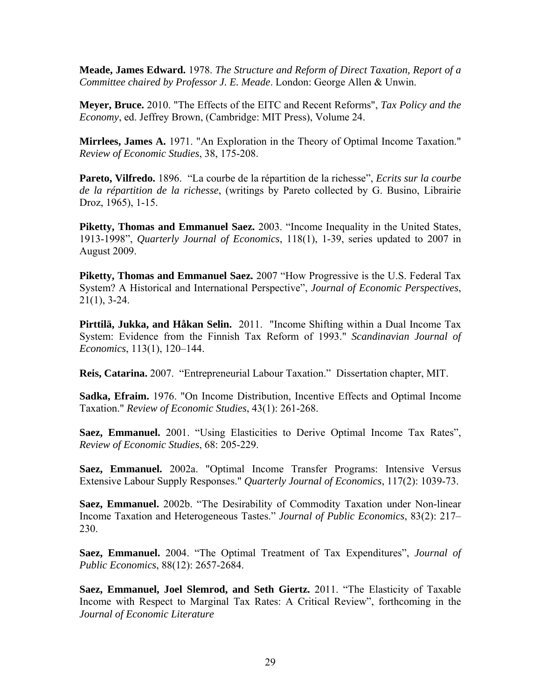**Meade, James Edward.** 1978. *The Structure and Reform of Direct Taxation, Report of a Committee chaired by Professor J. E. Meade*. London: George Allen & Unwin.

**Meyer, Bruce.** 2010. "The Effects of the EITC and Recent Reforms", *Tax Policy and the Economy*, ed. Jeffrey Brown, (Cambridge: MIT Press), Volume 24.

**Mirrlees, James A.** 1971. "An Exploration in the Theory of Optimal Income Taxation." *Review of Economic Studies*, 38, 175-208.

**Pareto, Vilfredo.** 1896. "La courbe de la répartition de la richesse", *Ecrits sur la courbe de la répartition de la richesse*, (writings by Pareto collected by G. Busino, Librairie Droz, 1965), 1-15.

**Piketty, Thomas and Emmanuel Saez.** 2003. "Income Inequality in the United States, 1913-1998", *Quarterly Journal of Economics*, 118(1), 1-39, series updated to 2007 in August 2009.

**Piketty, Thomas and Emmanuel Saez.** 2007 "How Progressive is the U.S. Federal Tax System? A Historical and International Perspective", *Journal of Economic Perspectives*, 21(1), 3-24.

**Pirttilä, Jukka, and Håkan Selin.** 2011. "Income Shifting within a Dual Income Tax System: Evidence from the Finnish Tax Reform of 1993." *Scandinavian Journal of Economics*, 113(1), 120–144.

**Reis, Catarina.** 2007. "Entrepreneurial Labour Taxation." Dissertation chapter, MIT.

**Sadka, Efraim.** 1976. "On Income Distribution, Incentive Effects and Optimal Income Taxation." *Review of Economic Studies*, 43(1): 261-268.

Saez, Emmanuel. 2001. "Using Elasticities to Derive Optimal Income Tax Rates", *Review of Economic Studies*, 68: 205-229.

**Saez, Emmanuel.** 2002a. "Optimal Income Transfer Programs: Intensive Versus Extensive Labour Supply Responses." *Quarterly Journal of Economics*, 117(2): 1039-73.

**Saez, Emmanuel.** 2002b. "The Desirability of Commodity Taxation under Non-linear Income Taxation and Heterogeneous Tastes." *Journal of Public Economics*, 83(2): 217– 230.

**Saez, Emmanuel.** 2004. "The Optimal Treatment of Tax Expenditures", *Journal of Public Economics*, 88(12): 2657-2684.

**Saez, Emmanuel, Joel Slemrod, and Seth Giertz.** 2011. "The Elasticity of Taxable Income with Respect to Marginal Tax Rates: A Critical Review", forthcoming in the *Journal of Economic Literature*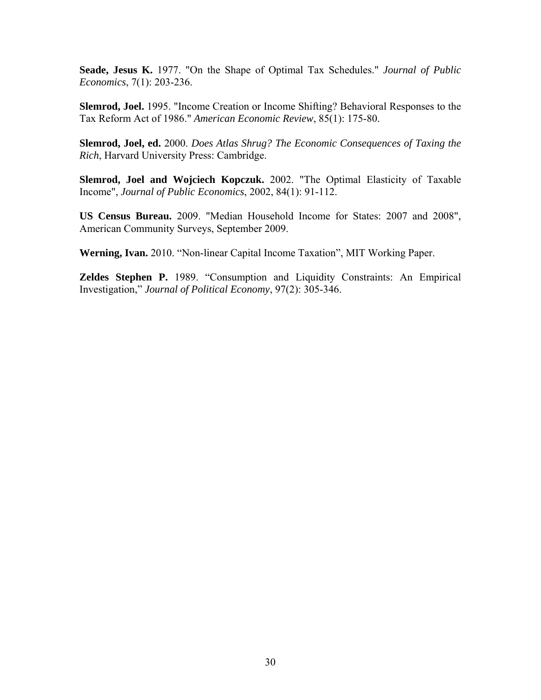**Seade, Jesus K.** 1977. "On the Shape of Optimal Tax Schedules." *Journal of Public Economics*, 7(1): 203-236.

**Slemrod, Joel.** 1995. "Income Creation or Income Shifting? Behavioral Responses to the Tax Reform Act of 1986." *American Economic Review*, 85(1): 175-80.

**Slemrod, Joel, ed.** 2000. *Does Atlas Shrug? The Economic Consequences of Taxing the Rich*, Harvard University Press: Cambridge.

**Slemrod, Joel and Wojciech Kopczuk.** 2002. "The Optimal Elasticity of Taxable Income", *Journal of Public Economics*, 2002, 84(1): 91-112.

**US Census Bureau.** 2009. "Median Household Income for States: 2007 and 2008", American Community Surveys, September 2009.

**Werning, Ivan.** 2010. "Non-linear Capital Income Taxation", MIT Working Paper.

**Zeldes Stephen P.** 1989. "Consumption and Liquidity Constraints: An Empirical Investigation," *Journal of Political Economy*, 97(2): 305-346.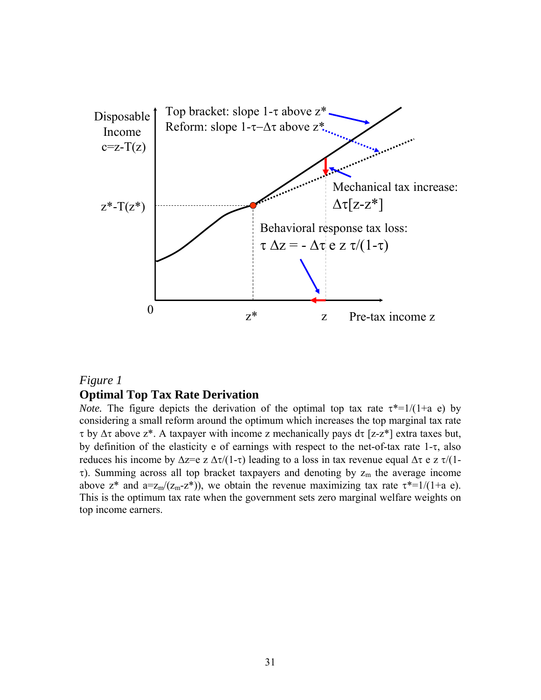

### *Figure 1*  **Optimal Top Tax Rate Derivation**

*Note.* The figure depicts the derivation of the optimal top tax rate  $\tau^*=1/(1+a e)$  by considering a small reform around the optimum which increases the top marginal tax rate  $\tau$  by  $\Delta \tau$  above  $z^*$ . A taxpayer with income z mechanically pays d $\tau$  [z-z\*] extra taxes but, by definition of the elasticity e of earnings with respect to the net-of-tax rate 1- $\tau$ , also reduces his income by  $\Delta z = e \times \Delta \tau/(1-\tau)$  leading to a loss in tax revenue equal  $\Delta \tau$  e z  $\tau/(1-\tau)$  $\tau$ ). Summing across all top bracket taxpayers and denoting by  $z_m$  the average income above z\* and a= $z_m/(z_m-z^*))$ , we obtain the revenue maximizing tax rate  $\tau^*=1/(1+a e)$ . This is the optimum tax rate when the government sets zero marginal welfare weights on top income earners.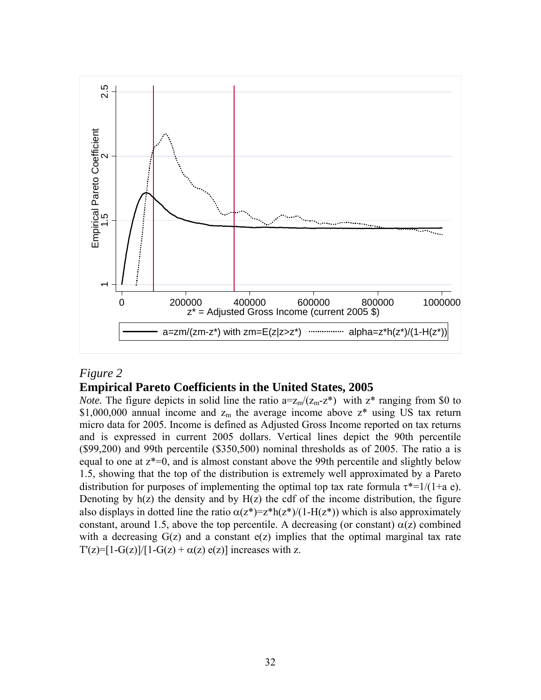

### *Figure 2*  **Empirical Pareto Coefficients in the United States, 2005**

*Note.* The figure depicts in solid line the ratio  $a=z_m/(z_m-z^*)$  with  $z^*$  ranging from \$0 to \$1,000,000 annual income and  $z<sub>m</sub>$  the average income above  $z^*$  using US tax return micro data for 2005. Income is defined as Adjusted Gross Income reported on tax returns and is expressed in current 2005 dollars. Vertical lines depict the 90th percentile (\$99,200) and 99th percentile (\$350,500) nominal thresholds as of 2005. The ratio a is equal to one at  $z^*=0$ , and is almost constant above the 99th percentile and slightly below 1.5, showing that the top of the distribution is extremely well approximated by a Pareto distribution for purposes of implementing the optimal top tax rate formula  $\tau^*=1/(1+a e)$ . Denoting by  $h(z)$  the density and by  $H(z)$  the cdf of the income distribution, the figure also displays in dotted line the ratio  $\alpha(z^*)=z^*h(z^*)/(1-H(z^*))$  which is also approximately constant, around 1.5, above the top percentile. A decreasing (or constant)  $\alpha(z)$  combined with a decreasing  $G(z)$  and a constant  $e(z)$  implies that the optimal marginal tax rate  $T'(z)=[1-G(z)]/[1-G(z) + \alpha(z) e(z)]$  increases with z.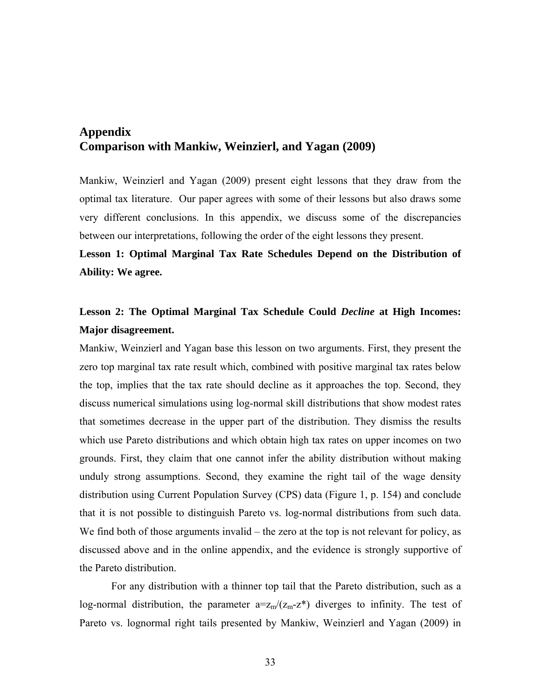### **Appendix Comparison with Mankiw, Weinzierl, and Yagan (2009)**

Mankiw, Weinzierl and Yagan (2009) present eight lessons that they draw from the optimal tax literature. Our paper agrees with some of their lessons but also draws some very different conclusions. In this appendix, we discuss some of the discrepancies between our interpretations, following the order of the eight lessons they present.

# **Lesson 1: Optimal Marginal Tax Rate Schedules Depend on the Distribution of Ability: We agree.**

# **Lesson 2: The Optimal Marginal Tax Schedule Could** *Decline* **at High Incomes: Major disagreement.**

Mankiw, Weinzierl and Yagan base this lesson on two arguments. First, they present the zero top marginal tax rate result which, combined with positive marginal tax rates below the top, implies that the tax rate should decline as it approaches the top. Second, they discuss numerical simulations using log-normal skill distributions that show modest rates that sometimes decrease in the upper part of the distribution. They dismiss the results which use Pareto distributions and which obtain high tax rates on upper incomes on two grounds. First, they claim that one cannot infer the ability distribution without making unduly strong assumptions. Second, they examine the right tail of the wage density distribution using Current Population Survey (CPS) data (Figure 1, p. 154) and conclude that it is not possible to distinguish Pareto vs. log-normal distributions from such data. We find both of those arguments invalid – the zero at the top is not relevant for policy, as discussed above and in the online appendix, and the evidence is strongly supportive of the Pareto distribution.

For any distribution with a thinner top tail that the Pareto distribution, such as a log-normal distribution, the parameter  $a=z_m/(z_m-z^*)$  diverges to infinity. The test of Pareto vs. lognormal right tails presented by Mankiw, Weinzierl and Yagan (2009) in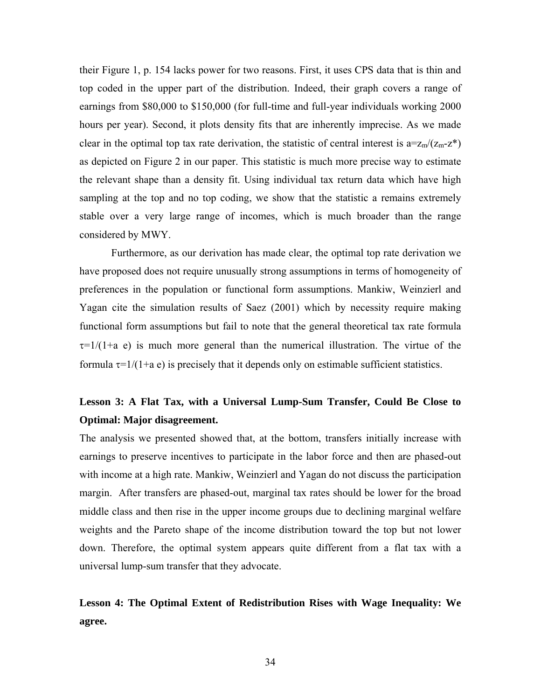their Figure 1, p. 154 lacks power for two reasons. First, it uses CPS data that is thin and top coded in the upper part of the distribution. Indeed, their graph covers a range of earnings from \$80,000 to \$150,000 (for full-time and full-year individuals working 2000 hours per year). Second, it plots density fits that are inherently imprecise. As we made clear in the optimal top tax rate derivation, the statistic of central interest is  $a=z_m/(z_m-z^*)$ as depicted on Figure 2 in our paper. This statistic is much more precise way to estimate the relevant shape than a density fit. Using individual tax return data which have high sampling at the top and no top coding, we show that the statistic a remains extremely stable over a very large range of incomes, which is much broader than the range considered by MWY.

Furthermore, as our derivation has made clear, the optimal top rate derivation we have proposed does not require unusually strong assumptions in terms of homogeneity of preferences in the population or functional form assumptions. Mankiw, Weinzierl and Yagan cite the simulation results of Saez (2001) which by necessity require making functional form assumptions but fail to note that the general theoretical tax rate formula  $\tau=1/(1+a)$  is much more general than the numerical illustration. The virtue of the formula  $\tau=1/(1+a e)$  is precisely that it depends only on estimable sufficient statistics.

# **Lesson 3: A Flat Tax, with a Universal Lump-Sum Transfer, Could Be Close to Optimal: Major disagreement.**

The analysis we presented showed that, at the bottom, transfers initially increase with earnings to preserve incentives to participate in the labor force and then are phased-out with income at a high rate. Mankiw, Weinzierl and Yagan do not discuss the participation margin. After transfers are phased-out, marginal tax rates should be lower for the broad middle class and then rise in the upper income groups due to declining marginal welfare weights and the Pareto shape of the income distribution toward the top but not lower down. Therefore, the optimal system appears quite different from a flat tax with a universal lump-sum transfer that they advocate.

# **Lesson 4: The Optimal Extent of Redistribution Rises with Wage Inequality: We agree.**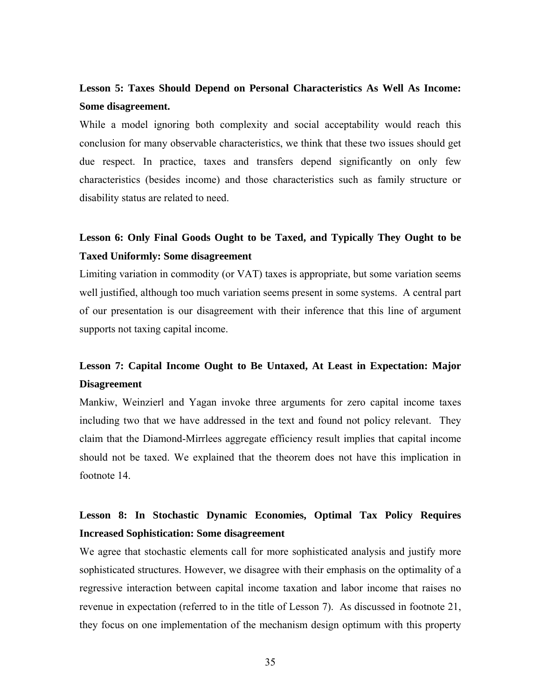# **Lesson 5: Taxes Should Depend on Personal Characteristics As Well As Income: Some disagreement.**

While a model ignoring both complexity and social acceptability would reach this conclusion for many observable characteristics, we think that these two issues should get due respect. In practice, taxes and transfers depend significantly on only few characteristics (besides income) and those characteristics such as family structure or disability status are related to need.

# **Lesson 6: Only Final Goods Ought to be Taxed, and Typically They Ought to be Taxed Uniformly: Some disagreement**

Limiting variation in commodity (or VAT) taxes is appropriate, but some variation seems well justified, although too much variation seems present in some systems. A central part of our presentation is our disagreement with their inference that this line of argument supports not taxing capital income.

# **Lesson 7: Capital Income Ought to Be Untaxed, At Least in Expectation: Major Disagreement**

Mankiw, Weinzierl and Yagan invoke three arguments for zero capital income taxes including two that we have addressed in the text and found not policy relevant. They claim that the Diamond-Mirrlees aggregate efficiency result implies that capital income should not be taxed. We explained that the theorem does not have this implication in footnote 14.

# **Lesson 8: In Stochastic Dynamic Economies, Optimal Tax Policy Requires Increased Sophistication: Some disagreement**

We agree that stochastic elements call for more sophisticated analysis and justify more sophisticated structures. However, we disagree with their emphasis on the optimality of a regressive interaction between capital income taxation and labor income that raises no revenue in expectation (referred to in the title of Lesson 7). As discussed in footnote 21, they focus on one implementation of the mechanism design optimum with this property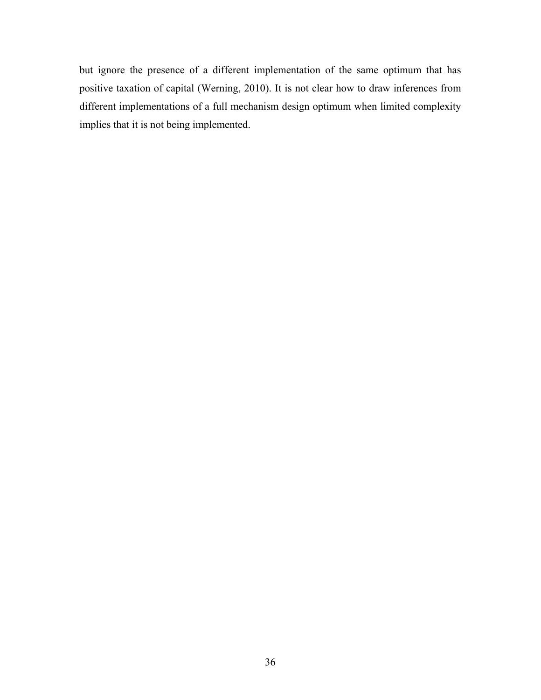but ignore the presence of a different implementation of the same optimum that has positive taxation of capital (Werning, 2010). It is not clear how to draw inferences from different implementations of a full mechanism design optimum when limited complexity implies that it is not being implemented.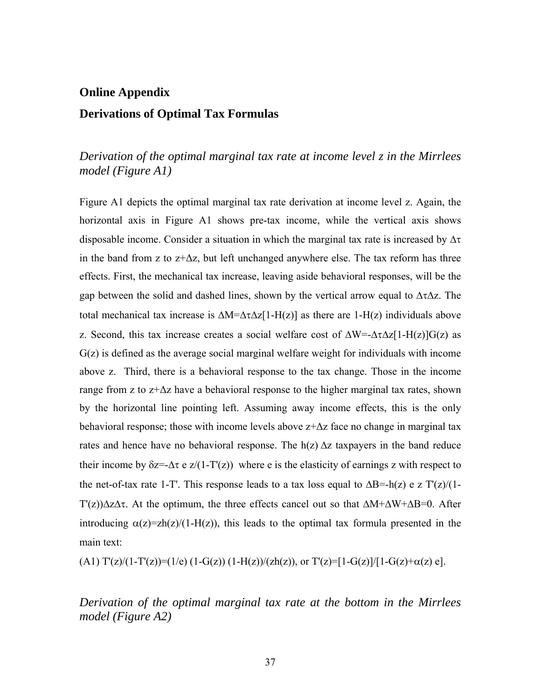#### **Online Appendix**

### **Derivations of Optimal Tax Formulas**

### *Derivation of the optimal marginal tax rate at income level z in the Mirrlees model (Figure A1)*

Figure A1 depicts the optimal marginal tax rate derivation at income level z. Again, the horizontal axis in Figure A1 shows pre-tax income, while the vertical axis shows disposable income. Consider a situation in which the marginal tax rate is increased by  $\Delta \tau$ in the band from z to  $z+\Delta z$ , but left unchanged anywhere else. The tax reform has three effects. First, the mechanical tax increase, leaving aside behavioral responses, will be the gap between the solid and dashed lines, shown by the vertical arrow equal to  $\Delta \tau \Delta z$ . The total mechanical tax increase is  $\Delta M = \Delta \tau \Delta z[1-H(z)]$  as there are 1-H(z) individuals above z. Second, this tax increase creates a social welfare cost of  $\Delta W = -\Delta \tau \Delta z [1-H(z)]G(z)$  as  $G(z)$  is defined as the average social marginal welfare weight for individuals with income above z. Third, there is a behavioral response to the tax change. Those in the income range from z to  $z+\Delta z$  have a behavioral response to the higher marginal tax rates, shown by the horizontal line pointing left. Assuming away income effects, this is the only behavioral response; those with income levels above  $z+\Delta z$  face no change in marginal tax rates and hence have no behavioral response. The  $h(z)$   $\Delta z$  taxpayers in the band reduce their income by  $\delta z = -\Delta \tau$  e z/(1-T'(z)) where e is the elasticity of earnings z with respect to the net-of-tax rate 1-T'. This response leads to a tax loss equal to  $\Delta B = -h(z) e z T'(z)/(1 -$ T'(z)) $\Delta z \Delta \tau$ . At the optimum, the three effects cancel out so that  $\Delta M + \Delta W + \Delta B = 0$ . After introducing  $\alpha(z)=zh(z)/(1-H(z))$ , this leads to the optimal tax formula presented in the main text:

(A1)  $T'(z)/(1-T'(z))=(1/e) (1-G(z)) (1-H(z))/(zh(z)),$  or  $T'(z)=[1-G(z)]/[1-G(z)+\alpha(z) e]$ .

*Derivation of the optimal marginal tax rate at the bottom in the Mirrlees model (Figure A2)*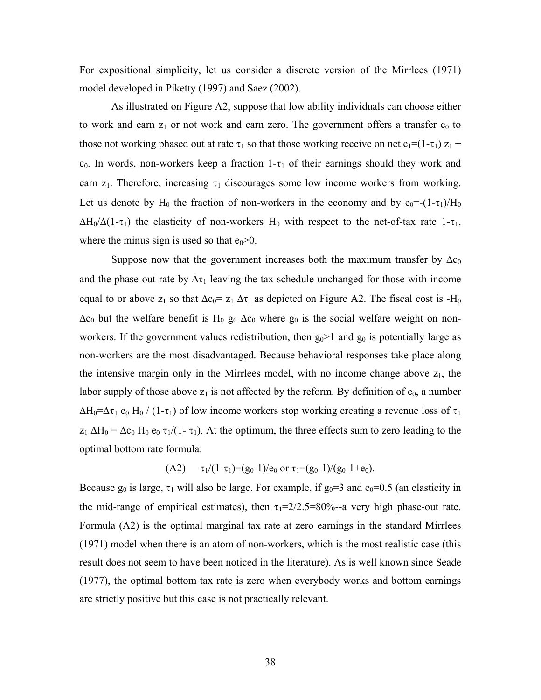For expositional simplicity, let us consider a discrete version of the Mirrlees (1971) model developed in Piketty (1997) and Saez (2002).

 As illustrated on Figure A2, suppose that low ability individuals can choose either to work and earn  $z_1$  or not work and earn zero. The government offers a transfer  $c_0$  to those not working phased out at rate  $\tau_1$  so that those working receive on net c<sub>1</sub>=(1- $\tau_1$ ) z<sub>1</sub> +  $c_0$ . In words, non-workers keep a fraction 1- $\tau_1$  of their earnings should they work and earn  $z_1$ . Therefore, increasing  $\tau_1$  discourages some low income workers from working. Let us denote by H<sub>0</sub> the fraction of non-workers in the economy and by  $e_0 = (1-\tau_1)/H_0$  $\Delta H_0/\Delta(1-\tau_1)$  the elasticity of non-workers H<sub>0</sub> with respect to the net-of-tax rate 1- $\tau_1$ , where the minus sign is used so that  $e_0$  > 0.

Suppose now that the government increases both the maximum transfer by  $\Delta c_0$ and the phase-out rate by  $\Delta \tau_1$  leaving the tax schedule unchanged for those with income equal to or above  $z_1$  so that  $\Delta c_0 = z_1 \Delta \tau_1$  as depicted on Figure A2. The fiscal cost is -H<sub>0</sub>  $\Delta c_0$  but the welfare benefit is H<sub>0</sub> g<sub>0</sub>  $\Delta c_0$  where g<sub>0</sub> is the social welfare weight on nonworkers. If the government values redistribution, then  $g_0$  and  $g_0$  is potentially large as non-workers are the most disadvantaged. Because behavioral responses take place along the intensive margin only in the Mirrlees model, with no income change above  $z_1$ , the labor supply of those above  $z_1$  is not affected by the reform. By definition of  $e_0$ , a number  $\Delta H_0 = \Delta \tau_1$  e<sub>0</sub> H<sub>0</sub> / (1- $\tau_1$ ) of low income workers stop working creating a revenue loss of  $\tau_1$  $z_1 \Delta H_0 = \Delta c_0 H_0 e_0 \tau_1/(1-\tau_1)$ . At the optimum, the three effects sum to zero leading to the optimal bottom rate formula:

(A2) 
$$
\tau_1/(1-\tau_1)=(g_0-1)/e_0
$$
 or  $\tau_1=(g_0-1)/(g_0-1+e_0)$ .

Because  $g_0$  is large,  $\tau_1$  will also be large. For example, if  $g_0=3$  and  $e_0=0.5$  (an elasticity in the mid-range of empirical estimates), then  $\tau_1 = 2/2.5 = 80\%$ --a very high phase-out rate. Formula (A2) is the optimal marginal tax rate at zero earnings in the standard Mirrlees (1971) model when there is an atom of non-workers, which is the most realistic case (this result does not seem to have been noticed in the literature). As is well known since Seade (1977), the optimal bottom tax rate is zero when everybody works and bottom earnings are strictly positive but this case is not practically relevant.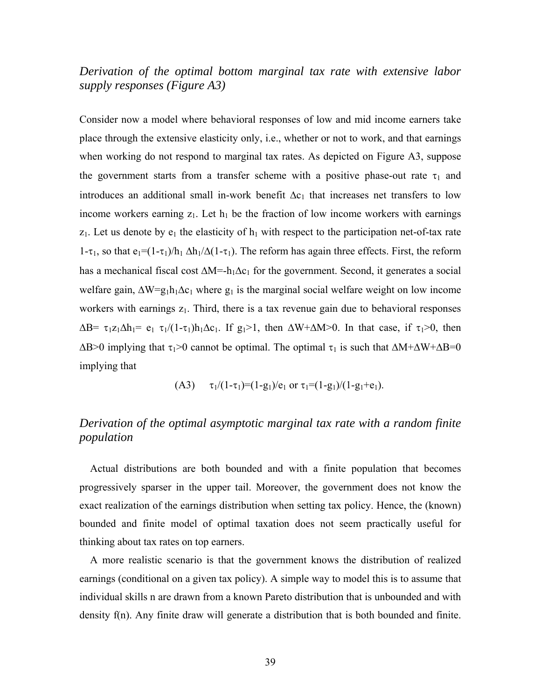# *Derivation of the optimal bottom marginal tax rate with extensive labor supply responses (Figure A3)*

Consider now a model where behavioral responses of low and mid income earners take place through the extensive elasticity only, i.e., whether or not to work, and that earnings when working do not respond to marginal tax rates. As depicted on Figure A3, suppose the government starts from a transfer scheme with a positive phase-out rate  $\tau_1$  and introduces an additional small in-work benefit  $\Delta c_1$  that increases net transfers to low income workers earning  $z_1$ . Let  $h_1$  be the fraction of low income workers with earnings  $z_1$ . Let us denote by  $e_1$  the elasticity of  $h_1$  with respect to the participation net-of-tax rate 1- $\tau_1$ , so that  $e_1 = (1-\tau_1)/h_1 \Delta h_1/\Delta(1-\tau_1)$ . The reform has again three effects. First, the reform has a mechanical fiscal cost  $\Delta M = -h_1 \Delta c_1$  for the government. Second, it generates a social welfare gain,  $\Delta W = g_1 h_1 \Delta c_1$  where  $g_1$  is the marginal social welfare weight on low income workers with earnings  $z_1$ . Third, there is a tax revenue gain due to behavioral responses  $\Delta B = \tau_1 z_1 \Delta h_1 = e_1 \tau_1/(1-\tau_1)h_1\Delta c_1$ . If  $g_1>1$ , then  $\Delta W+\Delta M>0$ . In that case, if  $\tau_1>0$ , then  $\Delta B > 0$  implying that  $\tau_1 > 0$  cannot be optimal. The optimal  $\tau_1$  is such that  $\Delta M + \Delta W + \Delta B = 0$ implying that

(A3)  $\tau_1/(1-\tau_1)=(1-\rho_1)/e_1$  or  $\tau_1=(1-\rho_1)/(1-\rho_1+e_1)$ .

### *Derivation of the optimal asymptotic marginal tax rate with a random finite population*

 Actual distributions are both bounded and with a finite population that becomes progressively sparser in the upper tail. Moreover, the government does not know the exact realization of the earnings distribution when setting tax policy. Hence, the (known) bounded and finite model of optimal taxation does not seem practically useful for thinking about tax rates on top earners.

 A more realistic scenario is that the government knows the distribution of realized earnings (conditional on a given tax policy). A simple way to model this is to assume that individual skills n are drawn from a known Pareto distribution that is unbounded and with density f(n). Any finite draw will generate a distribution that is both bounded and finite.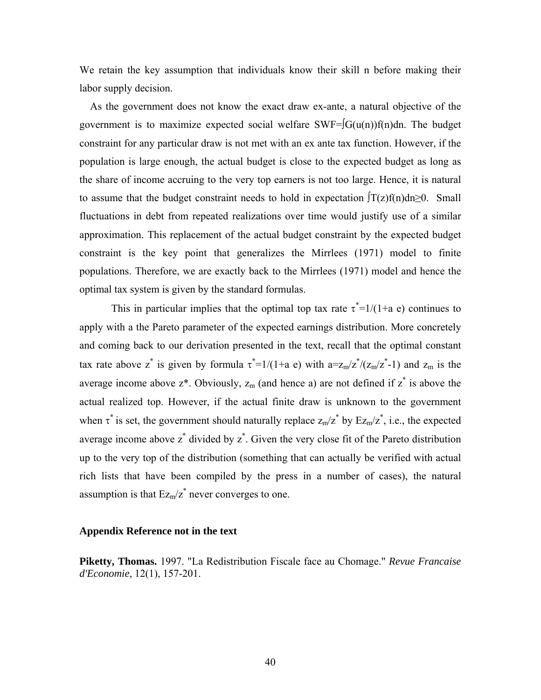We retain the key assumption that individuals know their skill n before making their labor supply decision.

 As the government does not know the exact draw ex-ante, a natural objective of the government is to maximize expected social welfare  $SWF = G(u(n))f(n)dn$ . The budget constraint for any particular draw is not met with an ex ante tax function. However, if the population is large enough, the actual budget is close to the expected budget as long as the share of income accruing to the very top earners is not too large. Hence, it is natural to assume that the budget constraint needs to hold in expectation  $\int T(z)f(n)dn\geq 0$ . Small fluctuations in debt from repeated realizations over time would justify use of a similar approximation. This replacement of the actual budget constraint by the expected budget constraint is the key point that generalizes the Mirrlees (1971) model to finite populations. Therefore, we are exactly back to the Mirrlees (1971) model and hence the optimal tax system is given by the standard formulas.

This in particular implies that the optimal top tax rate  $\tau^* = 1/(1+a)$  continues to apply with a the Pareto parameter of the expected earnings distribution. More concretely and coming back to our derivation presented in the text, recall that the optimal constant tax rate above z<sup>\*</sup> is given by formula  $\tau^* = 1/(1+a e)$  with  $a = z_m/z^*/(z_m/z^* - 1)$  and  $z_m$  is the average income above  $z^*$ . Obviously,  $z_m$  (and hence a) are not defined if  $z^*$  is above the actual realized top. However, if the actual finite draw is unknown to the government when  $\tau^*$  is set, the government should naturally replace  $z_m/z^*$  by  $Ez_m/z^*$ , i.e., the expected average income above  $z^*$  divided by  $z^*$ . Given the very close fit of the Pareto distribution up to the very top of the distribution (something that can actually be verified with actual rich lists that have been compiled by the press in a number of cases), the natural assumption is that  $Ez_m/z^*$  never converges to one.

#### **Appendix Reference not in the text**

**Piketty, Thomas.** 1997. "La Redistribution Fiscale face au Chomage." *Revue Francaise d'Economie*, 12(1), 157-201.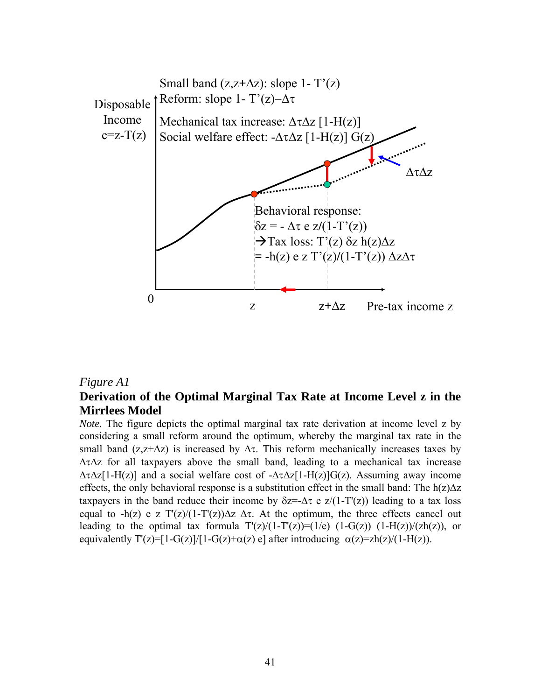

### *Figure A1*

### **Derivation of the Optimal Marginal Tax Rate at Income Level z in the Mirrlees Model**

*Note.* The figure depicts the optimal marginal tax rate derivation at income level z by considering a small reform around the optimum, whereby the marginal tax rate in the small band (z,z+ $\Delta$ z) is increased by  $\Delta \tau$ . This reform mechanically increases taxes by  $\Delta \tau \Delta z$  for all taxpayers above the small band, leading to a mechanical tax increase  $\Delta \tau \Delta z[1-H(z)]$  and a social welfare cost of  $-\Delta \tau \Delta z[1-H(z)]G(z)$ . Assuming away income effects, the only behavioral response is a substitution effect in the small band: The  $h(z)\Delta z$ taxpayers in the band reduce their income by  $\delta z = -\Delta \tau$  e  $z/(1-T'(z))$  leading to a tax loss equal to -h(z) e z  $T'(z)/(1-T'(z))\Delta z \Delta \tau$ . At the optimum, the three effects cancel out leading to the optimal tax formula  $T'(z)/(1-T'(z))=(1/e)$   $(1-G(z))$   $(1-H(z))/(zh(z))$ , or equivalently  $T'(z) = [1-G(z)]/[1-G(z)+\alpha(z)]$  after introducing  $\alpha(z) = zh(z)/(1-H(z))$ .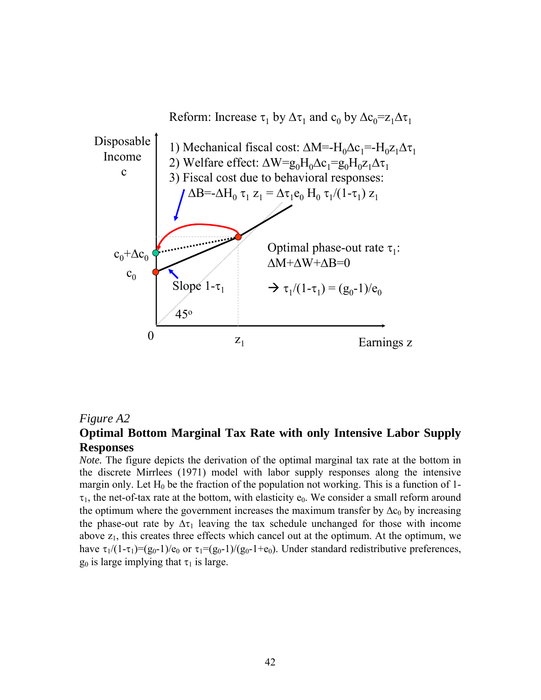

### *Figure A2*

# **Optimal Bottom Marginal Tax Rate with only Intensive Labor Supply Responses**

*Note*. The figure depicts the derivation of the optimal marginal tax rate at the bottom in the discrete Mirrlees (1971) model with labor supply responses along the intensive margin only. Let  $H_0$  be the fraction of the population not working. This is a function of 1- $\tau_1$ , the net-of-tax rate at the bottom, with elasticity  $e_0$ . We consider a small reform around the optimum where the government increases the maximum transfer by  $\Delta c_0$  by increasing the phase-out rate by  $\Delta \tau_1$  leaving the tax schedule unchanged for those with income above  $z_1$ , this creates three effects which cancel out at the optimum. At the optimum, we have  $\tau_1/(1-\tau_1)=(g_0-1)/e_0$  or  $\tau_1=(g_0-1)/(g_0-1+e_0)$ . Under standard redistributive preferences,  $g_0$  is large implying that  $\tau_1$  is large.